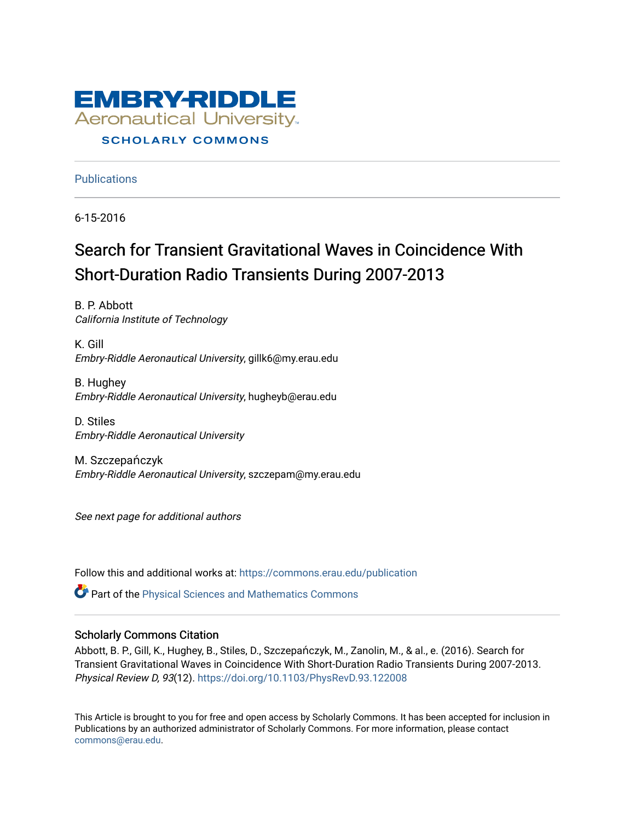

**Publications** 

6-15-2016

# Search for Transient Gravitational Waves in Coincidence With Short-Duration Radio Transients During 2007-2013

B. P. Abbott California Institute of Technology

K. Gill Embry-Riddle Aeronautical University, gillk6@my.erau.edu

B. Hughey Embry-Riddle Aeronautical University, hugheyb@erau.edu

D. Stiles Embry-Riddle Aeronautical University

M. Szczepańczyk Embry-Riddle Aeronautical University, szczepam@my.erau.edu

See next page for additional authors

Follow this and additional works at: [https://commons.erau.edu/publication](https://commons.erau.edu/publication?utm_source=commons.erau.edu%2Fpublication%2F278&utm_medium=PDF&utm_campaign=PDFCoverPages) 

**C** Part of the Physical Sciences and Mathematics Commons

# Scholarly Commons Citation

Abbott, B. P., Gill, K., Hughey, B., Stiles, D., Szczepańczyk, M., Zanolin, M., & al., e. (2016). Search for Transient Gravitational Waves in Coincidence With Short-Duration Radio Transients During 2007-2013. Physical Review D, 93(12). <https://doi.org/10.1103/PhysRevD.93.122008>

This Article is brought to you for free and open access by Scholarly Commons. It has been accepted for inclusion in Publications by an authorized administrator of Scholarly Commons. For more information, please contact [commons@erau.edu](mailto:commons@erau.edu).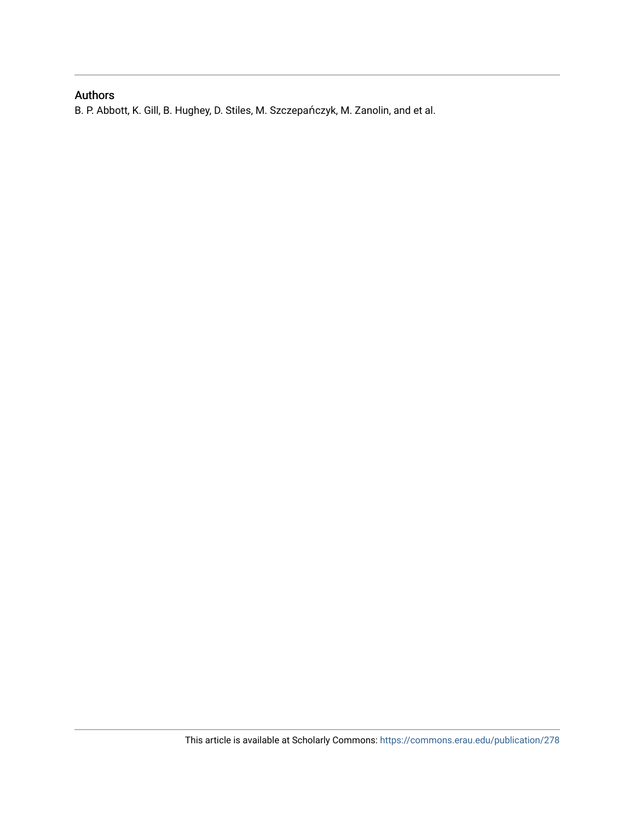# Authors

B. P. Abbott, K. Gill, B. Hughey, D. Stiles, M. Szczepańczyk, M. Zanolin, and et al.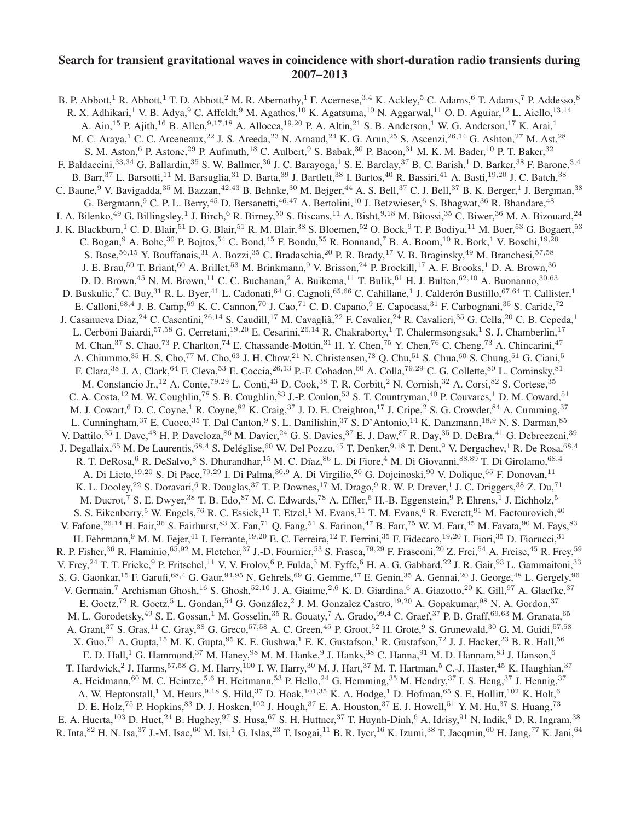## Search for transient gravitational waves in coincidence with short-duration radio transients during 2007–2013

B. P. Abbott,<sup>1</sup> R. Abbott,<sup>1</sup> T. D. Abbott,<sup>2</sup> M. R. Abernathy,<sup>1</sup> F. Acernese,<sup>3,4</sup> K. Ackley,<sup>5</sup> C. Adams,<sup>6</sup> T. Adams,<sup>7</sup> P. Addesso,<sup>8</sup> R. X. Adhikari,<sup>1</sup> V. B. Adya,<sup>9</sup> C. Affeldt,<sup>9</sup> M. Agathos,<sup>10</sup> K. Agatsuma,<sup>10</sup> N. Aggarwal,<sup>11</sup> O. D. Aguiar,<sup>12</sup> L. Aiello,<sup>13,14</sup> A. Ain,<sup>15</sup> P. Ajith,<sup>16</sup> B. Allen,<sup>9,17,18</sup> A. Allocca,<sup>19,20</sup> P. A. Altin,<sup>21</sup> S. B. Anderson,<sup>1</sup> W. G. Anderson,<sup>17</sup> K. Arai,<sup>1</sup> M. C. Araya,<sup>1</sup> C. C. Arceneaux,<sup>22</sup> J. S. Areeda,<sup>23</sup> N. Arnaud,<sup>24</sup> K. G. Arun,<sup>25</sup> S. Ascenzi,<sup>26,14</sup> G. Ashton,<sup>27</sup> M. Ast,<sup>28</sup> S. M. Aston,<sup>6</sup> P. Astone,<sup>29</sup> P. Aufmuth,<sup>18</sup> C. Aulbert,<sup>9</sup> S. Babak,<sup>30</sup> P. Bacon,<sup>31</sup> M. K. M. Bader,<sup>10</sup> P. T. Baker,<sup>32</sup> F. Baldaccini, 33,34 G. Ballardin, 35 S. W. Ballmer, 36 J. C. Barayoga,<sup>1</sup> S. E. Barclay, <sup>37</sup> B. C. Barish,<sup>1</sup> D. Barker, <sup>38</sup> F. Barone, <sup>3,4</sup> B. Barr,<sup>37</sup> L. Barsotti,<sup>11</sup> M. Barsuglia,<sup>31</sup> D. Barta,<sup>39</sup> J. Bartlett,<sup>38</sup> I. Bartos,<sup>40</sup> R. Bassiri,<sup>41</sup> A. Basti,<sup>19,20</sup> J. C. Batch,<sup>38</sup> C. Baune, <sup>9</sup> V. Bavigadda, <sup>35</sup> M. Bazzan, <sup>42, 43</sup> B. Behnke, <sup>30</sup> M. Bejger, <sup>44</sup> A. S. Bell, <sup>37</sup> C. J. Bell, <sup>37</sup> B. K. Berger, <sup>1</sup> J. Bergman, <sup>38</sup> G. Bergmann,<sup>9</sup> C. P. L. Berry,<sup>45</sup> D. Bersanetti,<sup>46,47</sup> A. Bertolini,<sup>10</sup> J. Betzwieser,<sup>6</sup> S. Bhagwat,<sup>36</sup> R. Bhandare,<sup>48</sup> I. A. Bilenko, $^{49}$  G. Billingsley,<sup>1</sup> J. Birch,<sup>6</sup> R. Birney,<sup>50</sup> S. Biscans,<sup>11</sup> A. Bisht,<sup>9,18</sup> M. Bitossi,<sup>35</sup> C. Biwer,<sup>36</sup> M. A. Bizouard,<sup>24</sup> J. K. Blackburn,<sup>1</sup> C. D. Blair,<sup>51</sup> D. G. Blair,<sup>51</sup> R. M. Blair,<sup>38</sup> S. Bloemen,<sup>52</sup> O. Bock,<sup>9</sup> T. P. Bodiya,<sup>11</sup> M. Boer,<sup>53</sup> G. Bogaert,<sup>53</sup> C. Bogan, <sup>9</sup> A. Bohe, <sup>30</sup> P. Bojtos, <sup>54</sup> C. Bond, <sup>45</sup> F. Bondu, <sup>55</sup> R. Bonnand, <sup>7</sup> B. A. Boom, <sup>10</sup> R. Bork, <sup>1</sup> V. Boschi, <sup>19, 20</sup> S. Bose,<sup>56,15</sup> Y. Bouffanais,<sup>31</sup> A. Bozzi,<sup>35</sup> C. Bradaschia,<sup>20</sup> P. R. Brady,<sup>17</sup> V. B. Braginsky,<sup>49</sup> M. Branchesi,<sup>57,58</sup> J. E. Brau,<sup>59</sup> T. Briant,<sup>60</sup> A. Brillet,<sup>53</sup> M. Brinkmann,<sup>9</sup> V. Brisson,<sup>24</sup> P. Brockill,<sup>17</sup> A. F. Brooks,<sup>1</sup> D. A. Brown,<sup>36</sup> D. D. Brown,<sup>45</sup> N. M. Brown,<sup>11</sup> C. C. Buchanan,<sup>2</sup> A. Buikema,<sup>11</sup> T. Bulik,<sup>61</sup> H. J. Bulten,<sup>62,10</sup> A. Buonanno,<sup>30,63</sup> D. Buskulic,<sup>7</sup> C. Buy,<sup>31</sup> R. L. Byer,<sup>41</sup> L. Cadonati,<sup>64</sup> G. Cagnoli,<sup>65,66</sup> C. Cahillane,<sup>1</sup> J. Calderón Bustillo,<sup>67,64</sup> T. Callister,<sup>1</sup> E. Calloni,<sup>68,4</sup> J. B. Camp,<sup>69</sup> K. C. Cannon,<sup>70</sup> J. Cao,<sup>71</sup> C. D. Capano,<sup>9</sup> E. Capocasa,<sup>31</sup> F. Carbognani,<sup>35</sup> S. Caride,<sup>72</sup> J. Casanueva Diaz, <sup>24</sup> C. Casentini, <sup>26, 14</sup> S. Caudill, <sup>17</sup> M. Cavaglià, <sup>22</sup> F. Cavalier, <sup>24</sup> R. Cavalieri, <sup>35</sup> G. Cella, <sup>20</sup> C. B. Cepeda,<sup>1</sup> L. Cerboni Baiardi,<sup>57,58</sup> G. Cerretani,<sup>19,20</sup> E. Cesarini,<sup>26,14</sup> R. Chakraborty,<sup>1</sup> T. Chalermsongsak,<sup>1</sup> S. J. Chamberlin,<sup>17</sup> M. Chan,<sup>37</sup> S. Chao,<sup>73</sup> P. Charlton,<sup>74</sup> E. Chassande-Mottin,<sup>31</sup> H. Y. Chen,<sup>75</sup> Y. Chen,<sup>76</sup> C. Cheng,<sup>73</sup> A. Chincarini,<sup>47</sup> A. Chiummo,  $35$  H. S. Cho,  $77$  M. Cho,  $63$  J. H. Chow,  $21$  N. Christensen,  $78$  Q. Chu,  $51$  S. Chua,  $60$  S. Chung,  $51$  G. Ciani,  $5$ F. Clara, <sup>38</sup> J. A. Clark, <sup>64</sup> F. Cleva, <sup>53</sup> E. Coccia, <sup>26, 13</sup> P.-F. Cohadon, <sup>60</sup> A. Colla, <sup>79, 29</sup> C. G. Collette, <sup>80</sup> L. Cominsky, <sup>81</sup> M. Constancio Jr.,<sup>12</sup> A. Conte,<sup>79,29</sup> L. Conti,<sup>43</sup> D. Cook,<sup>38</sup> T. R. Corbitt,<sup>2</sup> N. Cornish,<sup>32</sup> A. Corsi,<sup>82</sup> S. Cortese,<sup>35</sup> C. A. Costa,<sup>12</sup> M. W. Coughlin,<sup>78</sup> S. B. Coughlin,<sup>83</sup> J.-P. Coulon,<sup>53</sup> S. T. Countryman,<sup>40</sup> P. Couvares,<sup>1</sup> D. M. Coward,<sup>51</sup> M. J. Cowart,<sup>6</sup> D. C. Coyne,<sup>1</sup> R. Coyne,<sup>82</sup> K. Craig,<sup>37</sup> J. D. E. Creighton,<sup>17</sup> J. Cripe,<sup>2</sup> S. G. Crowder,<sup>84</sup> A. Cumming,<sup>37</sup> L. Cunningham,  ${}^{37}$  E. Cuoco,  ${}^{35}$  T. Dal Canton,  ${}^{9}$  S. L. Danilishin,  ${}^{37}$  S. D'Antonio,  ${}^{14}$  K. Danzmann,  ${}^{18,9}$  N. S. Darman,  ${}^{85}$ V. Dattilo,  $35$  I. Dave,  $48$  H. P. Daveloza,  $86$  M. Davier,  $24$  G. S. Davies,  $37$  E. J. Daw,  $87$  R. Day,  $35$  D. DeBra,  $41$  G. Debreczeni,  $39$ J. Degallaix, <sup>65</sup> M. De Laurentis, <sup>68,4</sup> S. Deléglise, <sup>60</sup> W. Del Pozzo, <sup>45</sup> T. Denker, <sup>9,18</sup> T. Dent, <sup>9</sup> V. Dergachev, <sup>1</sup> R. De Rosa, <sup>68,4</sup> R. T. DeRosa,<sup>6</sup> R. DeSalvo, <sup>8</sup> S. Dhurandhar, <sup>15</sup> M. C. Díaz, <sup>86</sup> L. Di Fiore, <sup>4</sup> M. Di Giovanni, <sup>88,89</sup> T. Di Girolamo, <sup>68,4</sup> A. Di Lieto,<sup>19,20</sup> S. Di Pace,<sup>79,29</sup> I. Di Palma,<sup>30,9</sup> A. Di Virgilio,<sup>20</sup> G. Dojcinoski,<sup>90</sup> V. Dolique,<sup>65</sup> F. Donovan,<sup>11</sup> K. L. Dooley,<sup>22</sup> S. Doravari,<sup>6</sup> R. Douglas,<sup>37</sup> T. P. Downes,<sup>17</sup> M. Drago,<sup>9</sup> R. W. P. Drever,<sup>1</sup> J. C. Driggers,<sup>38</sup> Z. Du,<sup>71</sup> M. Ducrot,  $\sqrt{7}$  S. E. Dwyer,  $38$  T. B. Edo,  $87$  M. C. Edwards,  $78$  A. Effler,  $6$  H.-B. Eggenstein,  $9$  P. Ehrens,  $1$  J. Eichholz,  $5$ S. S. Eikenberry,<sup>5</sup> W. Engels,<sup>76</sup> R. C. Essick,<sup>11</sup> T. Etzel,<sup>1</sup> M. Evans,<sup>11</sup> T. M. Evans,<sup>6</sup> R. Everett,<sup>91</sup> M. Factourovich,<sup>40</sup> V. Fafone,<sup>26,14</sup> H. Fair,<sup>36</sup> S. Fairhurst,<sup>83</sup> X. Fan,<sup>71</sup> Q. Fang,<sup>51</sup> S. Farinon,<sup>47</sup> B. Farr,<sup>75</sup> W. M. Farr,<sup>45</sup> M. Favata,<sup>90</sup> M. Fays,<sup>83</sup> H. Fehrmann, <sup>9</sup> M. M. Fejer, <sup>41</sup> I. Ferrante, <sup>19,20</sup> E. C. Ferreira, <sup>12</sup> F. Ferrini, <sup>35</sup> F. Fidecaro, <sup>19,20</sup> I. Fiori, <sup>35</sup> D. Fiorucci, <sup>31</sup> R. P. Fisher,  $36$  R. Flaminio,  $65,92$  M. Fletcher,  $37$  J.-D. Fournier,  $53$  S. Frasca,  $79,29$  F. Frasconi,  $20$  Z. Frei,  $54$  A. Freise,  $45$  R. Frey,  $59$ V. Frey, <sup>24</sup> T. T. Fricke, <sup>9</sup> P. Fritschel, <sup>11</sup> V. V. Frolov, <sup>6</sup> P. Fulda, <sup>5</sup> M. Fyffe, <sup>6</sup> H. A. G. Gabbard, <sup>22</sup> J. R. Gair, <sup>93</sup> L. Gammaitoni, <sup>33</sup> S. G. Gaonkar, <sup>15</sup> F. Garufi, <sup>68,4</sup> G. Gaur, <sup>94, 95</sup> N. Gehrels, <sup>69</sup> G. Gemme, <sup>47</sup> E. Genin, <sup>35</sup> A. Gennai, <sup>20</sup> J. George, <sup>48</sup> L. Gergely, <sup>96</sup> V. Germain,<sup>7</sup> Archisman Ghosh,<sup>16</sup> S. Ghosh,<sup>52,10</sup> J. A. Giaime,<sup>2,6</sup> K. D. Giardina,<sup>6</sup> A. Giazotto,<sup>20</sup> K. Gill,<sup>97</sup> A. Glaefke,<sup>37</sup> E. Goetz,<sup>72</sup> R. Goetz,<sup>5</sup> L. Gondan,<sup>54</sup> G. González,<sup>2</sup> J. M. Gonzalez Castro,<sup>19,20</sup> A. Gopakumar,<sup>98</sup> N. A. Gordon,<sup>37</sup> M. L. Gorodetsky,<sup>49</sup> S. E. Gossan,<sup>1</sup> M. Gosselin,<sup>35</sup> R. Gouaty,<sup>7</sup> A. Grado,<sup>99,4</sup> C. Graef,<sup>37</sup> P. B. Graff,<sup>69,63</sup> M. Granata,<sup>65</sup> A. Grant, <sup>37</sup> S. Gras, <sup>11</sup> C. Gray, <sup>38</sup> G. Greco, <sup>57,58</sup> A. C. Green, <sup>45</sup> P. Groot, <sup>52</sup> H. Grote, <sup>9</sup> S. Grunewald, <sup>30</sup> G. M. Guidi, <sup>57,58</sup> X. Guo,<sup>71</sup> A. Gupta,<sup>15</sup> M. K. Gupta,<sup>95</sup> K. E. Gushwa,<sup>1</sup> E. K. Gustafson,<sup>1</sup> R. Gustafson,<sup>72</sup> J. J. Hacker,<sup>23</sup> B. R. Hall,<sup>56</sup> E. D. Hall,<sup>1</sup> G. Hammond,<sup>37</sup> M. Haney,<sup>98</sup> M. M. Hanke,<sup>9</sup> J. Hanks,<sup>38</sup> C. Hanna,<sup>91</sup> M. D. Hannam,<sup>83</sup> J. Hanson,<sup>6</sup> T. Hardwick,<sup>2</sup> J. Harms,<sup>57,58</sup> G. M. Harry,<sup>100</sup> I. W. Harry,<sup>30</sup> M. J. Hart,<sup>37</sup> M. T. Hartman,<sup>5</sup> C.-J. Haster,<sup>45</sup> K. Haughian,<sup>37</sup> A. Heidmann,<sup>60</sup> M. C. Heintze,<sup>5,6</sup> H. Heitmann,<sup>53</sup> P. Hello,<sup>24</sup> G. Hemming,<sup>35</sup> M. Hendry,<sup>37</sup> I. S. Heng,<sup>37</sup> J. Hennig,<sup>37</sup> A. W. Heptonstall,<sup>1</sup> M. Heurs,<sup>9,18</sup> S. Hild,<sup>37</sup> D. Hoak,<sup>101,35</sup> K. A. Hodge,<sup>1</sup> D. Hofman,<sup>65</sup> S. E. Hollitt,<sup>102</sup> K. Holt,<sup>6</sup> D. E. Holz,<sup>75</sup> P. Hopkins,<sup>83</sup> D. J. Hosken,<sup>102</sup> J. Hough,<sup>37</sup> E. A. Houston,<sup>37</sup> E. J. Howell,<sup>51</sup> Y. M. Hu,<sup>37</sup> S. Huang,<sup>73</sup> E. A. Huerta,<sup>103</sup> D. Huet,<sup>24</sup> B. Hughey,<sup>97</sup> S. Husa,<sup>67</sup> S. H. Huttner,<sup>37</sup> T. Huynh-Dinh,<sup>6</sup> A. Idrisy,<sup>91</sup> N. Indik,<sup>9</sup> D. R. Ingram,<sup>38</sup> R. Inta, <sup>82</sup> H. N. Isa, <sup>37</sup> J.-M. Isac, <sup>60</sup> M. Isi, <sup>1</sup> G. Islas, <sup>23</sup> T. Isogai, <sup>11</sup> B. R. Iyer, <sup>16</sup> K. Izumi, <sup>38</sup> T. Jacqmin, <sup>60</sup> H. Jang, <sup>77</sup> K. Jani, <sup>64</sup>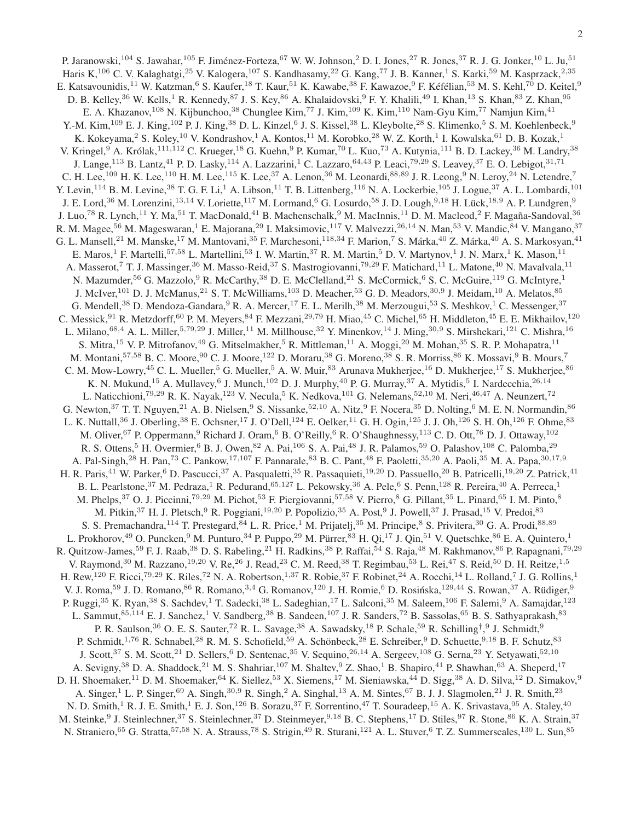P. Jaranowski,<sup>104</sup> S. Jawahar,<sup>105</sup> F. Jiménez-Forteza,<sup>67</sup> W. W. Johnson,<sup>2</sup> D. I. Jones,<sup>27</sup> R. Jones,<sup>37</sup> R. J. G. Jonker,<sup>10</sup> L. Ju,<sup>51</sup> Haris K,<sup>106</sup> C. V. Kalaghatgi,<sup>25</sup> V. Kalogera,<sup>107</sup> S. Kandhasamy,<sup>22</sup> G. Kang,<sup>77</sup> J. B. Kanner,<sup>1</sup> S. Karki,<sup>59</sup> M. Kasprzack,<sup>2,35</sup> E. Katsavounidis, <sup>11</sup> W. Katzman, <sup>6</sup> S. Kaufer, <sup>18</sup> T. Kaur, <sup>51</sup> K. Kawabe, <sup>38</sup> F. Kawazoe, <sup>9</sup> F. Kéfélian, <sup>53</sup> M. S. Kehl, <sup>70</sup> D. Keitel, <sup>9</sup> D. B. Kelley,<sup>36</sup> W. Kells,<sup>1</sup> R. Kennedy,<sup>87</sup> J. S. Key,<sup>86</sup> A. Khalaidovski,<sup>9</sup> F. Y. Khalili,<sup>49</sup> I. Khan,<sup>13</sup> S. Khan,<sup>83</sup> Z. Khan,<sup>95</sup> E. A. Khazanov,<sup>108</sup> N. Kijbunchoo,<sup>38</sup> Chunglee Kim,<sup>77</sup> J. Kim,<sup>109</sup> K. Kim,<sup>110</sup> Nam-Gyu Kim,<sup>77</sup> Namjun Kim,<sup>41</sup> Y.-M. Kim,<sup>109</sup> E. J. King,<sup>102</sup> P. J. King,<sup>38</sup> D. L. Kinzel,<sup>6</sup> J. S. Kissel,<sup>38</sup> L. Kleybolte,<sup>28</sup> S. Klimenko,<sup>5</sup> S. M. Koehlenbeck,<sup>9</sup> K. Kokeyama,<sup>2</sup> S. Koley,<sup>10</sup> V. Kondrashov,<sup>1</sup> A. Kontos,<sup>11</sup> M. Korobko,<sup>28</sup> W. Z. Korth,<sup>1</sup> I. Kowalska,<sup>61</sup> D. B. Kozak,<sup>1</sup> V. Kringel,  $9$  A. Królak,<sup>111,112</sup> C. Krueger,<sup>18</sup> G. Kuehn, <sup>9</sup> P. Kumar, <sup>70</sup> L. Kuo, <sup>73</sup> A. Kutynia,<sup>111</sup> B. D. Lackey, <sup>36</sup> M. Landry, <sup>38</sup> J. Lange,<sup>113</sup> B. Lantz,<sup>41</sup> P. D. Lasky,<sup>114</sup> A. Lazzarini,<sup>1</sup> C. Lazzaro,<sup>64,43</sup> P. Leaci,<sup>79,29</sup> S. Leavey,<sup>37</sup> E. O. Lebigot,<sup>31,71</sup> C. H. Lee,<sup>109</sup> H. K. Lee,<sup>110</sup> H. M. Lee,<sup>115</sup> K. Lee,<sup>37</sup> A. Lenon,<sup>36</sup> M. Leonardi,<sup>88,89</sup> J. R. Leong,<sup>9</sup> N. Leroy,<sup>24</sup> N. Letendre,<sup>7</sup> Y. Levin,<sup>114</sup> B. M. Levine,<sup>38</sup> T. G. F. Li,<sup>1</sup> A. Libson,<sup>11</sup> T. B. Littenberg,<sup>116</sup> N. A. Lockerbie,<sup>105</sup> J. Logue,<sup>37</sup> A. L. Lombardi,<sup>101</sup> J. E. Lord,<sup>36</sup> M. Lorenzini,<sup>13,14</sup> V. Loriette,<sup>117</sup> M. Lormand,<sup>6</sup> G. Losurdo,<sup>58</sup> J. D. Lough,<sup>9,18</sup> H. Lück,<sup>18,9</sup> A. P. Lundgren,<sup>9</sup> J. Luo,<sup>78</sup> R. Lynch,<sup>11</sup> Y. Ma,<sup>51</sup> T. MacDonald,<sup>41</sup> B. Machenschalk,<sup>9</sup> M. MacInnis,<sup>11</sup> D. M. Macleod,<sup>2</sup> F. Magaña-Sandoval,<sup>36</sup> R. M. Magee,<sup>56</sup> M. Mageswaran,<sup>1</sup> E. Majorana,<sup>29</sup> I. Maksimovic,<sup>117</sup> V. Malvezzi,<sup>26,14</sup> N. Man,<sup>53</sup> V. Mandic,<sup>84</sup> V. Mangano,<sup>37</sup> G. L. Mansell,<sup>21</sup> M. Manske,<sup>17</sup> M. Mantovani,<sup>35</sup> F. Marchesoni,<sup>118,34</sup> F. Marion,<sup>7</sup> S. Márka,<sup>40</sup> Z. Márka,<sup>40</sup> A. S. Markosyan,<sup>41</sup> E. Maros,<sup>1</sup> F. Martelli,<sup>57,58</sup> L. Martellini,<sup>53</sup> I. W. Martin,<sup>37</sup> R. M. Martin,<sup>5</sup> D. V. Martynov,<sup>1</sup> J. N. Marx,<sup>1</sup> K. Mason,<sup>11</sup> A. Masserot,<sup>7</sup> T. J. Massinger,<sup>36</sup> M. Masso-Reid,<sup>37</sup> S. Mastrogiovanni,<sup>79,29</sup> F. Matichard,<sup>11</sup> L. Matone,<sup>40</sup> N. Mavalvala,<sup>11</sup> N. Mazumder,<sup>56</sup> G. Mazzolo,<sup>9</sup> R. McCarthy,<sup>38</sup> D. E. McClelland,<sup>21</sup> S. McCormick,<sup>6</sup> S. C. McGuire,<sup>119</sup> G. McIntyre,<sup>1</sup> J. McIver,<sup>101</sup> D. J. McManus,<sup>21</sup> S. T. McWilliams,<sup>103</sup> D. Meacher,<sup>53</sup> G. D. Meadors,<sup>30,9</sup> J. Meidam,<sup>10</sup> A. Melatos,<sup>85</sup> G. Mendell,<sup>38</sup> D. Mendoza-Gandara,<sup>9</sup> R. A. Mercer,<sup>17</sup> E. L. Merilh,<sup>38</sup> M. Merzougui,<sup>53</sup> S. Meshkov,<sup>1</sup> C. Messenger,<sup>37</sup> C. Messick, <sup>91</sup> R. Metzdorff, <sup>60</sup> P. M. Meyers, <sup>84</sup> F. Mezzani, <sup>29,79</sup> H. Miao, <sup>45</sup> C. Michel, <sup>65</sup> H. Middleton, <sup>45</sup> E. E. Mikhailov, <sup>120</sup> L. Milano,  $68,4$  A. L. Miller,  $5,79,29$  J. Miller,  $^{11}$  M. Millhouse,  $^{32}$  Y. Minenkov,  $^{14}$  J. Ming,  $^{30,9}$  S. Mirshekari,  $^{121}$  C. Mishra,  $^{16}$ S. Mitra,<sup>15</sup> V. P. Mitrofanov,<sup>49</sup> G. Mitselmakher,<sup>5</sup> R. Mittleman,<sup>11</sup> A. Moggi,<sup>20</sup> M. Mohan,<sup>35</sup> S. R. P. Mohapatra,<sup>11</sup> M. Montani,<sup>57,58</sup> B. C. Moore,<sup>90</sup> C. J. Moore,<sup>122</sup> D. Moraru,<sup>38</sup> G. Moreno,<sup>38</sup> S. R. Morriss,<sup>86</sup> K. Mossavi,<sup>9</sup> B. Mours,<sup>7</sup> C. M. Mow-Lowry, <sup>45</sup> C. L. Mueller, <sup>5</sup> G. Mueller, <sup>5</sup> A. W. Muir, <sup>83</sup> Arunava Mukherjee, <sup>16</sup> D. Mukherjee, <sup>17</sup> S. Mukherjee, <sup>86</sup> K. N. Mukund,<sup>15</sup> A. Mullavey,<sup>6</sup> J. Munch,<sup>102</sup> D. J. Murphy,<sup>40</sup> P. G. Murray,<sup>37</sup> A. Mytidis,<sup>5</sup> I. Nardecchia,<sup>26,14</sup> L. Naticchioni,<sup>79,29</sup> R. K. Nayak,<sup>123</sup> V. Necula,<sup>5</sup> K. Nedkova,<sup>101</sup> G. Nelemans,<sup>52,10</sup> M. Neri,<sup>46,47</sup> A. Neunzert,<sup>72</sup> G. Newton,<sup>37</sup> T. T. Nguyen,<sup>21</sup> A. B. Nielsen,<sup>9</sup> S. Nissanke,<sup>52,10</sup> A. Nitz,<sup>9</sup> F. Nocera,<sup>35</sup> D. Nolting,<sup>6</sup> M. E. N. Normandin,<sup>86</sup> L. K. Nuttall,<sup>36</sup> J. Oberling,<sup>38</sup> E. Ochsner,<sup>17</sup> J. O'Dell,<sup>124</sup> E. Oelker,<sup>11</sup> G. H. Ogin,<sup>125</sup> J. J. Oh,<sup>126</sup> S. H. Oh,<sup>126</sup> F. Ohme,<sup>83</sup> M. Oliver,<sup>67</sup> P. Oppermann,<sup>9</sup> Richard J. Oram,<sup>6</sup> B. O'Reilly,<sup>6</sup> R. O'Shaughnessy,<sup>113</sup> C. D. Ott,<sup>76</sup> D. J. Ottaway.<sup>102</sup> R. S. Ottens,<sup>5</sup> H. Overmier,<sup>6</sup> B. J. Owen,<sup>82</sup> A. Pai,<sup>106</sup> S. A. Pai,<sup>48</sup> J. R. Palamos,<sup>59</sup> O. Palashov,<sup>108</sup> C. Palomba,<sup>29</sup> A. Pal-Singh,<sup>28</sup> H. Pan,<sup>73</sup> C. Pankow,<sup>17,107</sup> F. Pannarale,<sup>83</sup> B. C. Pant,<sup>48</sup> F. Paoletti,<sup>35,20</sup> A. Paoli,<sup>35</sup> M. A. Papa,<sup>30,17,9</sup> H. R. Paris,<sup>41</sup> W. Parker,<sup>6</sup> D. Pascucci,<sup>37</sup> A. Pasqualetti,<sup>35</sup> R. Passaquieti,<sup>19,20</sup> D. Passuello,<sup>20</sup> B. Patricelli,<sup>19,20</sup> Z. Patrick,<sup>41</sup> B. L. Pearlstone,<sup>37</sup> M. Pedraza,<sup>1</sup> R. Pedurand,<sup>65,127</sup> L. Pekowsky,<sup>36</sup> A. Pele,<sup>6</sup> S. Penn,<sup>128</sup> R. Pereira,<sup>40</sup> A. Perreca,<sup>1</sup> M. Phelps,<sup>37</sup> O. J. Piccinni,<sup>79,29</sup> M. Pichot,<sup>53</sup> F. Piergiovanni,<sup>57,58</sup> V. Pierro,<sup>8</sup> G. Pillant,<sup>35</sup> L. Pinard,<sup>65</sup> I. M. Pinto,<sup>8</sup> M. Pitkin,<sup>37</sup> H. J. Pletsch,<sup>9</sup> R. Poggiani,<sup>19,20</sup> P. Popolizio,<sup>35</sup> A. Post,<sup>9</sup> J. Powell,<sup>37</sup> J. Prasad,<sup>15</sup> V. Predoi,<sup>83</sup> S. S. Premachandra, <sup>114</sup> T. Prestegard, <sup>84</sup> L. R. Price, <sup>1</sup> M. Prijatelj, <sup>35</sup> M. Principe, <sup>8</sup> S. Privitera, <sup>30</sup> G. A. Prodi, <sup>88,89</sup> L. Prokhorov,<sup>49</sup> O. Puncken,<sup>9</sup> M. Punturo,<sup>34</sup> P. Puppo,<sup>29</sup> M. Pürrer,<sup>83</sup> H. Qi,<sup>17</sup> J. Qin,<sup>51</sup> V. Quetschke,<sup>86</sup> E. A. Quintero,<sup>1</sup> R. Quitzow-James, <sup>59</sup> F. J. Raab, <sup>38</sup> D. S. Rabeling, <sup>21</sup> H. Radkins, <sup>38</sup> P. Raffai, <sup>54</sup> S. Raja, <sup>48</sup> M. Rakhmanov, <sup>86</sup> P. Rapagnani, <sup>79, 29</sup> V. Raymond,<sup>30</sup> M. Razzano,<sup>19,20</sup> V. Re,<sup>26</sup> J. Read,<sup>23</sup> C. M. Reed,<sup>38</sup> T. Regimbau,<sup>53</sup> L. Rei,<sup>47</sup> S. Reid,<sup>50</sup> D. H. Reitze,<sup>1,5</sup> H. Rew,<sup>120</sup> F. Ricci,<sup>79,29</sup> K. Riles,<sup>72</sup> N. A. Robertson,<sup>1,37</sup> R. Robie,<sup>37</sup> F. Robinet,<sup>24</sup> A. Rocchi,<sup>14</sup> L. Rolland,<sup>7</sup> J. G. Rollins,<sup>1</sup> V. J. Roma,<sup>59</sup> J. D. Romano,<sup>86</sup> R. Romano,<sup>3,4</sup> G. Romanov,<sup>120</sup> J. H. Romie,<sup>6</sup> D. Rosińska,<sup>129,44</sup> S. Rowan,<sup>37</sup> A. Rüdiger,<sup>9</sup> P. Ruggi,<sup>35</sup> K. Ryan,<sup>38</sup> S. Sachdev,<sup>1</sup> T. Sadecki,<sup>38</sup> L. Sadeghian,<sup>17</sup> L. Salconi,<sup>35</sup> M. Saleem,<sup>106</sup> F. Salemi,<sup>9</sup> A. Samajdar,<sup>123</sup> L. Sammut, <sup>85,114</sup> E. J. Sanchez,<sup>1</sup> V. Sandberg, <sup>38</sup> B. Sandeen, <sup>107</sup> J. R. Sanders, <sup>72</sup> B. Sassolas, <sup>65</sup> B. S. Sathyaprakash, <sup>83</sup> P. R. Saulson,<sup>36</sup> O. E. S. Sauter,<sup>72</sup> R. L. Savage,<sup>38</sup> A. Sawadsky,<sup>18</sup> P. Schale,<sup>59</sup> R. Schilling<sup>† 9</sup> J. Schmidt,<sup>9</sup> P. Schmidt,<sup>1,76</sup> R. Schnabel,<sup>28</sup> R. M. S. Schofield,<sup>59</sup> A. Schönbeck,<sup>28</sup> E. Schreiber,<sup>9</sup> D. Schuette,<sup>9,18</sup> B. F. Schutz,<sup>83</sup> J. Scott,<sup>37</sup> S. M. Scott,<sup>21</sup> D. Sellers,<sup>6</sup> D. Sentenac,<sup>35</sup> V. Sequino,<sup>26,14</sup> A. Sergeev,<sup>108</sup> G. Serna,<sup>23</sup> Y. Setyawati,<sup>52,10</sup> A. Sevigny,<sup>38</sup> D. A. Shaddock,<sup>21</sup> M. S. Shahriar,<sup>107</sup> M. Shaltev,<sup>9</sup> Z. Shao,<sup>1</sup> B. Shapiro,<sup>41</sup> P. Shawhan,<sup>63</sup> A. Sheperd,<sup>17</sup> D. H. Shoemaker,<sup>11</sup> D. M. Shoemaker,<sup>64</sup> K. Siellez,<sup>53</sup> X. Siemens,<sup>17</sup> M. Sieniawska,<sup>44</sup> D. Sigg,<sup>38</sup> A. D. Silva,<sup>12</sup> D. Simakov,<sup>9</sup> A. Singer,<sup>1</sup> L. P. Singer,<sup>69</sup> A. Singh,<sup>30,9</sup> R. Singh,<sup>2</sup> A. Singhal,<sup>13</sup> A. M. Sintes,<sup>67</sup> B. J. J. Slagmolen,<sup>21</sup> J. R. Smith,<sup>23</sup> N. D. Smith,<sup>1</sup> R. J. E. Smith,<sup>1</sup> E. J. Son,<sup>126</sup> B. Sorazu,<sup>37</sup> F. Sorrentino,<sup>47</sup> T. Souradeep,<sup>15</sup> A. K. Srivastava,<sup>95</sup> A. Staley,<sup>40</sup> M. Steinke, <sup>9</sup> J. Steinlechner, <sup>37</sup> S. Steinlechner, <sup>37</sup> D. Steinmeyer, <sup>9,18</sup> B. C. Stephens, <sup>17</sup> D. Stiles, <sup>97</sup> R. Stone, <sup>86</sup> K. A. Strain, <sup>37</sup> N. Straniero, <sup>65</sup> G. Stratta, <sup>57,58</sup> N. A. Strauss, <sup>78</sup> S. Strigin, <sup>49</sup> R. Sturani, <sup>121</sup> A. L. Stuver, <sup>6</sup> T. Z. Summerscales, <sup>130</sup> L. Sun, <sup>85</sup>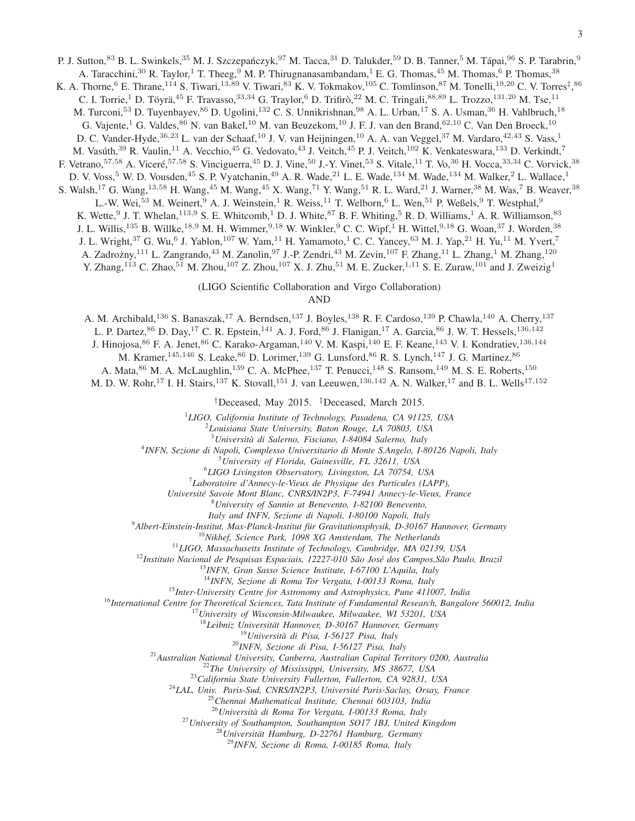P. J. Sutton, <sup>83</sup> B. L. Swinkels, <sup>35</sup> M. J. Szczepańczyk, <sup>97</sup> M. Tacca, <sup>31</sup> D. Talukder, <sup>59</sup> D. B. Tanner, <sup>5</sup> M. Tápai, <sup>96</sup> S. P. Tarabrin, <sup>9</sup> A. Taracchini,  $30$  R. Taylor,  $1$  T. Theeg,  $9$  M. P. Thirugnanasambandam,  $1$  E. G. Thomas,  $45$  M. Thomas,  $6$  P. Thomas,  $38$ K. A. Thorne, <sup>6</sup> E. Thrane,  $^{114}$  S. Tiwari,  $^{13,89}$  V. Tiwari,  $^{83}$  K. V. Tokmakov,  $^{105}$  C. Tomlinson,  $^{87}$  M. Tonelli,  $^{19,20}$  C. V. Torres<sup>‡</sup>,  $^{86}$ C. I. Torrie,<sup>1</sup> D. Töyrä,<sup>45</sup> F. Travasso,<sup>33,34</sup> G. Traylor,<sup>6</sup> D. Trifirò,<sup>22</sup> M. C. Tringali,<sup>88,89</sup> L. Trozzo,<sup>131,20</sup> M. Tse,<sup>11</sup> M. Turconi,<sup>53</sup> D. Tuyenbayev,<sup>86</sup> D. Ugolini,<sup>132</sup> C. S. Unnikrishnan,<sup>98</sup> A. L. Urban,<sup>17</sup> S. A. Usman,<sup>36</sup> H. Vahlbruch,<sup>18</sup> G. Vajente,<sup>1</sup> G. Valdes,<sup>86</sup> N. van Bakel,<sup>10</sup> M. van Beuzekom,<sup>10</sup> J. F. J. van den Brand,<sup>62,10</sup> C. Van Den Broeck,<sup>10</sup> D. C. Vander-Hyde,<sup>36,23</sup> L. van der Schaaf,<sup>10</sup> J. V. van Heijningen,<sup>10</sup> A. A. van Veggel,<sup>37</sup> M. Vardaro,<sup>42,43</sup> S. Vass,<sup>1</sup> M. Vasúth,<sup>39</sup> R. Vaulin,<sup>11</sup> A. Vecchio,<sup>45</sup> G. Vedovato,<sup>43</sup> J. Veitch,<sup>45</sup> P. J. Veitch,<sup>102</sup> K. Venkateswara,<sup>133</sup> D. Verkindt,<sup>7</sup> F. Vetrano,<sup>57,58</sup> A. Viceré,<sup>57,58</sup> S. Vinciguerra,<sup>45</sup> D. J. Vine,<sup>50</sup> J.-Y. Vinet,<sup>53</sup> S. Vitale,<sup>11</sup> T. Vo,<sup>36</sup> H. Vocca,<sup>33,34</sup> C. Vorvick,<sup>38</sup> D. V. Voss,<sup>5</sup> W. D. Vousden,<sup>45</sup> S. P. Vyatchanin,<sup>49</sup> A. R. Wade,<sup>21</sup> L. E. Wade,<sup>134</sup> M. Wade,<sup>134</sup> M. Walker,<sup>2</sup> L. Wallace,<sup>1</sup> S. Walsh,<sup>17</sup> G. Wang,<sup>13,58</sup> H. Wang,<sup>45</sup> M. Wang,<sup>45</sup> X. Wang,<sup>71</sup> Y. Wang,<sup>51</sup> R. L. Ward,<sup>21</sup> J. Warner,<sup>38</sup> M. Was,<sup>7</sup> B. Weaver,<sup>38</sup> L.-W. Wei,<sup>53</sup> M. Weinert,<sup>9</sup> A. J. Weinstein,<sup>1</sup> R. Weiss,<sup>11</sup> T. Welborn,<sup>6</sup> L. Wen,<sup>51</sup> P. Weßels,<sup>9</sup> T. Westphal,<sup>9</sup>

K. Wette, <sup>9</sup> J. T. Whelan,  $^{113,9}$  S. E. Whitcomb, <sup>1</sup> D. J. White, <sup>87</sup> B. F. Whiting, <sup>5</sup> R. D. Williams, <sup>1</sup> A. R. Williamson, <sup>83</sup> J. L. Willis,<sup>135</sup> B. Willke,<sup>18,9</sup> M. H. Wimmer,<sup>9,18</sup> W. Winkler,<sup>9</sup> C. C. Wipf,<sup>1</sup> H. Wittel,<sup>9,18</sup> G. Woan,<sup>37</sup> J. Worden,<sup>38</sup>

J. L. Wright,<sup>37</sup> G. Wu,<sup>6</sup> J. Yablon,<sup>107</sup> W. Yam,<sup>11</sup> H. Yamamoto,<sup>1</sup> C. C. Yancey,<sup>63</sup> M. J. Yap,<sup>21</sup> H. Yu,<sup>11</sup> M. Yvert,<sup>7</sup>

A. Zadrożny,<sup>111</sup> L. Zangrando,<sup>43</sup> M. Zanolin,<sup>97</sup> J.-P. Zendri,<sup>43</sup> M. Zevin,<sup>107</sup> F. Zhang,<sup>11</sup> L. Zhang,<sup>1</sup> M. Zhang,<sup>120</sup>

Y. Zhang,<sup>113</sup> C. Zhao,<sup>51</sup> M. Zhou,<sup>107</sup> Z. Zhou,<sup>107</sup> X. J. Zhu,<sup>51</sup> M. E. Zucker,<sup>1,11</sup> S. E. Zuraw,<sup>101</sup> and J. Zweizig<sup>1</sup>

(LIGO Scientific Collaboration and Virgo Collaboration)

AND

A. M. Archibald,<sup>136</sup> S. Banaszak,<sup>17</sup> A. Berndsen,<sup>137</sup> J. Boyles,<sup>138</sup> R. F. Cardoso,<sup>139</sup> P. Chawla,<sup>140</sup> A. Cherry,<sup>137</sup>

L. P. Dartez,  $86$  D. Day,  $17$  C. R. Epstein,  $141$  A. J. Ford,  $86$  J. Flanigan,  $17$  A. Garcia,  $86$  J. W. T. Hessels,  $136,142$ 

J. Hinojosa, <sup>86</sup> F. A. Jenet, <sup>86</sup> C. Karako-Argaman, <sup>140</sup> V. M. Kaspi, <sup>140</sup> E. F. Keane, <sup>143</sup> V. I. Kondratiev, <sup>136, 144</sup>

M. Kramer,  $^{145,146}$  S. Leake,  $^{86}$  D. Lorimer,  $^{139}$  G. Lunsford,  $^{86}$  R. S. Lynch,  $^{147}$  J. G. Martinez,  $^{86}$ 

A. Mata, <sup>86</sup> M. A. McLaughlin, <sup>139</sup> C. A. McPhee, <sup>137</sup> T. Penucci, <sup>148</sup> S. Ransom, <sup>149</sup> M. S. E. Roberts, <sup>150</sup>

M. D. W. Rohr,<sup>17</sup> I. H. Stairs,<sup>137</sup> K. Stovall,<sup>151</sup> J. van Leeuwen,<sup>136,142</sup> A. N. Walker,<sup>17</sup> and B. L. Wells<sup>17,152</sup>

†Deceased, May 2015. ‡Deceased, March 2015.

1 *LIGO, California Institute of Technology, Pasadena, CA 91125, USA*

2 *Louisiana State University, Baton Rouge, LA 70803, USA*

<sup>3</sup>Università di Salerno, Fisciano, I-84084 Salerno, Italy

4 *INFN, Sezione di Napoli, Complesso Universitario di Monte S.Angelo, I-80126 Napoli, Italy*

<sup>5</sup>*University of Florida, Gainesville, FL 32611, USA*

6 *LIGO Livingston Observatory, Livingston, LA 70754, USA*

7 *Laboratoire d'Annecy-le-Vieux de Physique des Particules (LAPP),*

*Universit´e Savoie Mont Blanc, CNRS/IN2P3, F-74941 Annecy-le-Vieux, France*

<sup>8</sup>*University of Sannio at Benevento, I-82100 Benevento,*

*Italy and INFN, Sezione di Napoli, I-80100 Napoli, Italy*

<sup>9</sup>Albert-Einstein-Institut, Max-Planck-Institut für Gravitationsphysik, D-30167 Hannover, Germany

<sup>10</sup>*Nikhef, Science Park, 1098 XG Amsterdam, The Netherlands*

<sup>11</sup>*LIGO, Massachusetts Institute of Technology, Cambridge, MA 02139, USA*

<sup>12</sup>Instituto Nacional de Pesquisas Espaciais, 12227-010 São José dos Campos,São Paulo, Brazil

<sup>13</sup>*INFN, Gran Sasso Science Institute, I-67100 L'Aquila, Italy*

<sup>14</sup>*INFN, Sezione di Roma Tor Vergata, I-00133 Roma, Italy*

<sup>15</sup>*Inter-University Centre for Astronomy and Astrophysics, Pune 411007, India*

<sup>16</sup>*International Centre for Theoretical Sciences, Tata Institute of Fundamental Research, Bangalore 560012, India*

<sup>17</sup>*University of Wisconsin-Milwaukee, Milwaukee, WI 53201, USA*

<sup>18</sup> Leibniz Universität Hannover, D-30167 Hannover, Germany

<sup>19</sup> Università di Pisa, I-56127 Pisa, Italy

<sup>20</sup>*INFN, Sezione di Pisa, I-56127 Pisa, Italy*

<sup>21</sup>*Australian National University, Canberra, Australian Capital Territory 0200, Australia*

<sup>22</sup>*The University of Mississippi, University, MS 38677, USA*

<sup>23</sup>*California State University Fullerton, Fullerton, CA 92831, USA*

<sup>24</sup> LAL, Univ. Paris-Sud, CNRS/IN2P3, Université Paris-Saclay, Orsay, France

<sup>25</sup>*Chennai Mathematical Institute, Chennai 603103, India*

<sup>26</sup> Università di Roma Tor Vergata, I-00133 Roma, Italy

<sup>27</sup>*University of Southampton, Southampton SO17 1BJ, United Kingdom*

<sup>28</sup> Universität Hamburg, D-22761 Hamburg, Germany

<sup>29</sup>*INFN, Sezione di Roma, I-00185 Roma, Italy*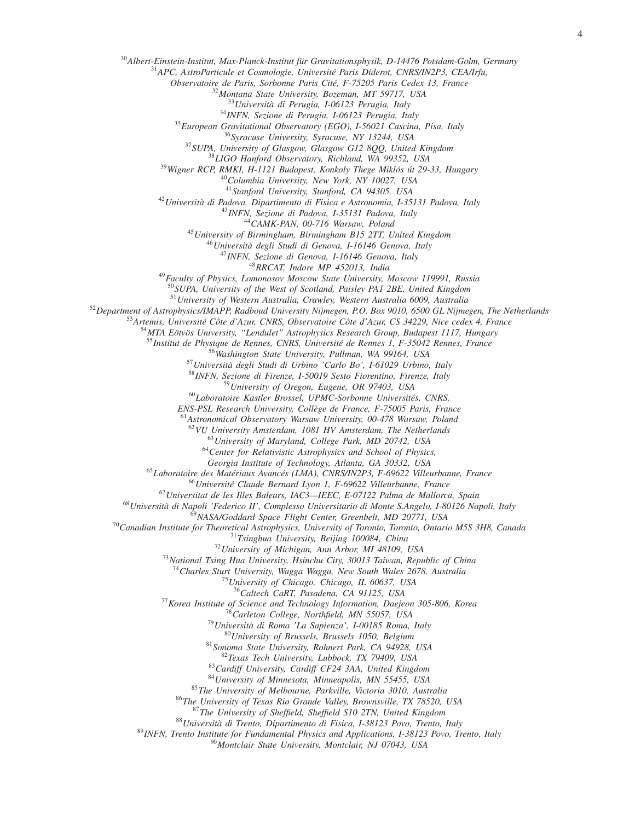<sup>30</sup>Albert-Einstein-Institut, Max-Planck-Institut für Gravitationsphysik, D-14476 Potsdam-Golm, Germany

<sup>31</sup>APC, AstroParticule et Cosmologie, Université Paris Diderot, CNRS/IN2P3, CEA/Irfu,

*Observatoire de Paris, Sorbonne Paris Cit´e, F-75205 Paris Cedex 13, France*

*Montana State University, Bozeman, MT 59717, USA*

<sup>33</sup> Università di Perugia, I-06123 Perugia, Italy

*INFN, Sezione di Perugia, I-06123 Perugia, Italy*

*European Gravitational Observatory (EGO), I-56021 Cascina, Pisa, Italy*

*Syracuse University, Syracuse, NY 13244, USA*

*SUPA, University of Glasgow, Glasgow G12 8QQ, United Kingdom*

*LIGO Hanford Observatory, Richland, WA 99352, USA*

<sup>39</sup>Wigner RCP, RMKI, H-1121 Budapest, Konkoly Thege Miklós út 29-33, Hungary

*Columbia University, New York, NY 10027, USA*

*Stanford University, Stanford, CA 94305, USA*

<sup>42</sup> Università di Padova, Dipartimento di Fisica e Astronomia, I-35131 Padova, Italy

*INFN, Sezione di Padova, I-35131 Padova, Italy*

*CAMK-PAN, 00-716 Warsaw, Poland*

*University of Birmingham, Birmingham B15 2TT, United Kingdom*

<sup>46</sup> Università degli Studi di Genova, I-16146 Genova, Italy

*INFN, Sezione di Genova, I-16146 Genova, Italy*

*RRCAT, Indore MP 452013, India*

*Faculty of Physics, Lomonosov Moscow State University, Moscow 119991, Russia*

*SUPA, University of the West of Scotland, Paisley PA1 2BE, United Kingdom*

*University of Western Australia, Crawley, Western Australia 6009, Australia*

*Department of Astrophysics/IMAPP, Radboud University Nijmegen, P.O. Box 9010, 6500 GL Nijmegen, The Netherlands*

<sup>53</sup>Artemis, Université Côte d'Azur, CNRS, Observatoire Côte d'Azur, CS 34229, Nice cedex 4, France

<sup>54</sup>MTA Eötvös University, "Lendulet" Astrophysics Research Group, Budapest 1117, Hungary

<sup>55</sup> Institut de Physique de Rennes, CNRS, Université de Rennes 1, F-35042 Rennes, France

*Washington State University, Pullman, WA 99164, USA*

<sup>57</sup> Università degli Studi di Urbino 'Carlo Bo', I-61029 Urbino, Italy

*INFN, Sezione di Firenze, I-50019 Sesto Fiorentino, Firenze, Italy*

*University of Oregon, Eugene, OR 97403, USA*

<sup>60</sup>Laboratoire Kastler Brossel, UPMC-Sorbonne Universités, CNRS,

*ENS-PSL Research University, Coll`ege de France, F-75005 Paris, France*

*Astronomical Observatory Warsaw University, 00-478 Warsaw, Poland*

*VU University Amsterdam, 1081 HV Amsterdam, The Netherlands*

*University of Maryland, College Park, MD 20742, USA*

*Center for Relativistic Astrophysics and School of Physics,*

*Georgia Institute of Technology, Atlanta, GA 30332, USA*

<sup>65</sup>Laboratoire des Matériaux Avancés (LMA), CNRS/IN2P3, F-69622 Villeurbanne, France

*Universit´e Claude Bernard Lyon 1, F-69622 Villeurbanne, France*

*Universitat de les Illes Balears, IAC3—IEEC, E-07122 Palma de Mallorca, Spain*

<sup>68</sup> Università di Napoli 'Federico II', Complesso Universitario di Monte S.Angelo, I-80126 Napoli, Italy

*NASA/Goddard Space Flight Center, Greenbelt, MD 20771, USA*

*Canadian Institute for Theoretical Astrophysics, University of Toronto, Toronto, Ontario M5S 3H8, Canada*

*Tsinghua University, Beijing 100084, China*

*University of Michigan, Ann Arbor, MI 48109, USA*

*National Tsing Hua University, Hsinchu City, 30013 Taiwan, Republic of China*

*Charles Sturt University, Wagga Wagga, New South Wales 2678, Australia*

*University of Chicago, Chicago, IL 60637, USA*

*Caltech CaRT, Pasadena, CA 91125, USA*

*Korea Institute of Science and Technology Information, Daejeon 305-806, Korea*

*Carleton College, Northfield, MN 55057, USA*

<sup>79</sup> Università di Roma 'La Sapienza', I-00185 Roma, Italy

*University of Brussels, Brussels 1050, Belgium*

*Sonoma State University, Rohnert Park, CA 94928, USA*

*Texas Tech University, Lubbock, TX 79409, USA*

*Cardiff University, Cardiff CF24 3AA, United Kingdom*

*University of Minnesota, Minneapolis, MN 55455, USA*

*The University of Melbourne, Parkville, Victoria 3010, Australia*

*The University of Texas Rio Grande Valley, Brownsville, TX 78520, USA*

*The University of Sheffield, Sheffield S10 2TN, United Kingdom*

<sup>88</sup> Università di Trento, Dipartimento di Fisica, I-38123 Povo, Trento, Italy

*INFN, Trento Institute for Fundamental Physics and Applications, I-38123 Povo, Trento, Italy*

*Montclair State University, Montclair, NJ 07043, USA*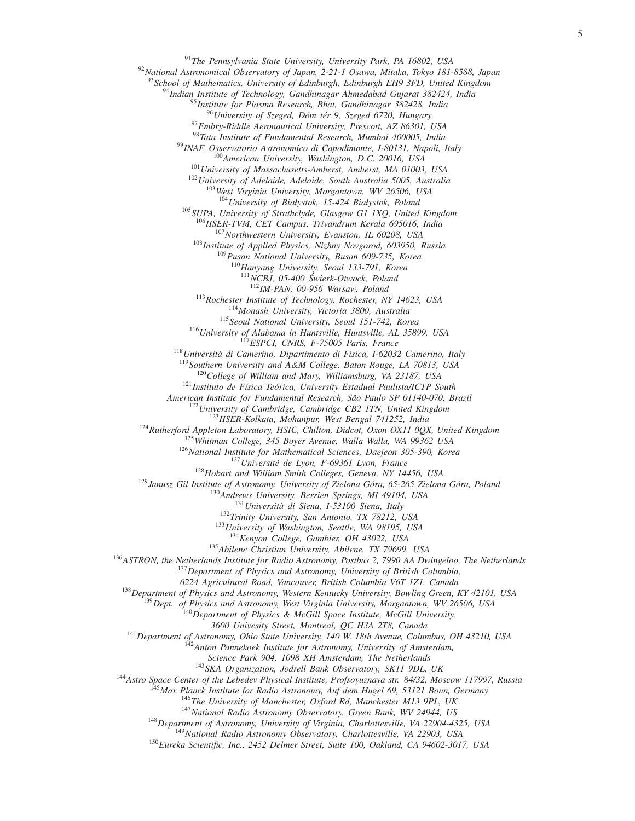*The Pennsylvania State University, University Park, PA 16802, USA*

*National Astronomical Observatory of Japan, 2-21-1 Osawa, Mitaka, Tokyo 181-8588, Japan*

*School of Mathematics, University of Edinburgh, Edinburgh EH9 3FD, United Kingdom*

*Indian Institute of Technology, Gandhinagar Ahmedabad Gujarat 382424, India*

*Institute for Plasma Research, Bhat, Gandhinagar 382428, India*

<sup>96</sup>University of Szeged, Dóm tér 9, Szeged 6720, Hungary

*Embry-Riddle Aeronautical University, Prescott, AZ 86301, USA*

*Tata Institute of Fundamental Research, Mumbai 400005, India*

*INAF, Osservatorio Astronomico di Capodimonte, I-80131, Napoli, Italy*

*American University, Washington, D.C. 20016, USA*

*University of Massachusetts-Amherst, Amherst, MA 01003, USA*

*University of Adelaide, Adelaide, South Australia 5005, Australia*

*West Virginia University, Morgantown, WV 26506, USA*

*University of Białystok, 15-424 Białystok, Poland*

*SUPA, University of Strathclyde, Glasgow G1 1XQ, United Kingdom*

*IISER-TVM, CET Campus, Trivandrum Kerala 695016, India*

*Northwestern University, Evanston, IL 60208, USA*

*Institute of Applied Physics, Nizhny Novgorod, 603950, Russia*

*Pusan National University, Busan 609-735, Korea*

*Hanyang University, Seoul 133-791, Korea*

*NCBJ, 05-400 Swierk-Otwock, Poland ´*

*IM-PAN, 00-956 Warsaw, Poland*

*Rochester Institute of Technology, Rochester, NY 14623, USA*

*Monash University, Victoria 3800, Australia*

*Seoul National University, Seoul 151-742, Korea*

*University of Alabama in Huntsville, Huntsville, AL 35899, USA ESPCI, CNRS, F-75005 Paris, France*

<sup>118</sup> Università di Camerino, Dipartimento di Fisica, I-62032 Camerino, Italy

*Southern University and A&M College, Baton Rouge, LA 70813, USA*

*College of William and Mary, Williamsburg, VA 23187, USA*

<sup>121</sup> Instituto de Física Teórica, University Estadual Paulista/ICTP South

*American Institute for Fundamental Research, S˜ao Paulo SP 01140-070, Brazil*

*University of Cambridge, Cambridge CB2 1TN, United Kingdom*

*IISER-Kolkata, Mohanpur, West Bengal 741252, India*

*Rutherford Appleton Laboratory, HSIC, Chilton, Didcot, Oxon OX11 0QX, United Kingdom*

*Whitman College, 345 Boyer Avenue, Walla Walla, WA 99362 USA*

*National Institute for Mathematical Sciences, Daejeon 305-390, Korea*

<sup>127</sup> Université de Lyon, F-69361 Lyon, France

*Hobart and William Smith Colleges, Geneva, NY 14456, USA*

<sup>129</sup> Janusz Gil Institute of Astronomy, University of Zielona Góra, 65-265 Zielona Góra, Poland

*Andrews University, Berrien Springs, MI 49104, USA*

<sup>131</sup> Università di Siena, I-53100 Siena, Italy

*Trinity University, San Antonio, TX 78212, USA*

*University of Washington, Seattle, WA 98195, USA*

*Kenyon College, Gambier, OH 43022, USA*

*Abilene Christian University, Abilene, TX 79699, USA*

*ASTRON, the Netherlands Institute for Radio Astronomy, Postbus 2, 7990 AA Dwingeloo, The Netherlands*

*Department of Physics and Astronomy, University of British Columbia,*

*6224 Agricultural Road, Vancouver, British Columbia V6T 1Z1, Canada*

*Department of Physics and Astronomy, Western Kentucky University, Bowling Green, KY 42101, USA*

*Dept. of Physics and Astronomy, West Virginia University, Morgantown, WV 26506, USA*

*Department of Physics & McGill Space Institute, McGill University,*

*3600 Univesity Street, Montreal, QC H3A 2T8, Canada*

*Department of Astronomy, Ohio State University, 140 W. 18th Avenue, Columbus, OH 43210, USA*

*Anton Pannekoek Institute for Astronomy, University of Amsterdam,*

*Science Park 904, 1098 XH Amsterdam, The Netherlands*

*SKA Organization, Jodrell Bank Observatory, SK11 9DL, UK*

*Astro Space Center of the Lebedev Physical Institute, Profsoyuznaya str. 84/32, Moscow 117997, Russia*

*Max Planck Institute for Radio Astronomy, Auf dem Hugel 69, 53121 Bonn, Germany*

*The University of Manchester, Oxford Rd, Manchester M13 9PL, UK*

*National Radio Astronomy Observatory, Green Bank, WV 24944, US*

*Department of Astronomy, University of Virginia, Charlottesville, VA 22904-4325, USA*

*National Radio Astronomy Observatory, Charlottesville, VA 22903, USA*

*Eureka Scientific, Inc., 2452 Delmer Street, Suite 100, Oakland, CA 94602-3017, USA*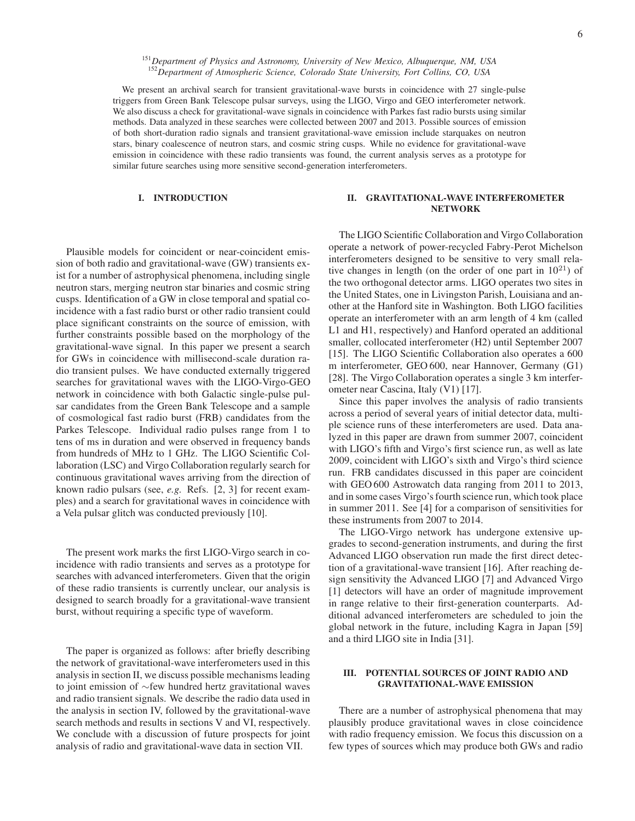<sup>151</sup>*Department of Physics and Astronomy, University of New Mexico, Albuquerque, NM, USA* <sup>152</sup>*Department of Atmospheric Science, Colorado State University, Fort Collins, CO, USA*

We present an archival search for transient gravitational-wave bursts in coincidence with 27 single-pulse triggers from Green Bank Telescope pulsar surveys, using the LIGO, Virgo and GEO interferometer network. We also discuss a check for gravitational-wave signals in coincidence with Parkes fast radio bursts using similar methods. Data analyzed in these searches were collected between 2007 and 2013. Possible sources of emission of both short-duration radio signals and transient gravitational-wave emission include starquakes on neutron stars, binary coalescence of neutron stars, and cosmic string cusps. While no evidence for gravitational-wave emission in coincidence with these radio transients was found, the current analysis serves as a prototype for similar future searches using more sensitive second-generation interferometers.

#### I. INTRODUCTION

Plausible models for coincident or near-coincident emission of both radio and gravitational-wave (GW) transients exist for a number of astrophysical phenomena, including single neutron stars, merging neutron star binaries and cosmic string cusps. Identification of a GW in close temporal and spatial coincidence with a fast radio burst or other radio transient could place significant constraints on the source of emission, with further constraints possible based on the morphology of the gravitational-wave signal. In this paper we present a search for GWs in coincidence with millisecond-scale duration radio transient pulses. We have conducted externally triggered searches for gravitational waves with the LIGO-Virgo-GEO network in coincidence with both Galactic single-pulse pulsar candidates from the Green Bank Telescope and a sample of cosmological fast radio burst (FRB) candidates from the Parkes Telescope. Individual radio pulses range from 1 to tens of ms in duration and were observed in frequency bands from hundreds of MHz to 1 GHz. The LIGO Scientific Collaboration (LSC) and Virgo Collaboration regularly search for continuous gravitational waves arriving from the direction of known radio pulsars (see, *e.g.* Refs. [2, 3] for recent examples) and a search for gravitational waves in coincidence with a Vela pulsar glitch was conducted previously [10].

The present work marks the first LIGO-Virgo search in coincidence with radio transients and serves as a prototype for searches with advanced interferometers. Given that the origin of these radio transients is currently unclear, our analysis is designed to search broadly for a gravitational-wave transient burst, without requiring a specific type of waveform.

The paper is organized as follows: after briefly describing the network of gravitational-wave interferometers used in this analysis in section II, we discuss possible mechanisms leading to joint emission of ∼few hundred hertz gravitational waves and radio transient signals. We describe the radio data used in the analysis in section IV, followed by the gravitational-wave search methods and results in sections V and VI, respectively. We conclude with a discussion of future prospects for joint analysis of radio and gravitational-wave data in section VII.

### II. GRAVITATIONAL-WAVE INTERFEROMETER NETWORK

The LIGO Scientific Collaboration and Virgo Collaboration operate a network of power-recycled Fabry-Perot Michelson interferometers designed to be sensitive to very small relative changes in length (on the order of one part in  $10^{21}$ ) of the two orthogonal detector arms. LIGO operates two sites in the United States, one in Livingston Parish, Louisiana and another at the Hanford site in Washington. Both LIGO facilities operate an interferometer with an arm length of 4 km (called L1 and H1, respectively) and Hanford operated an additional smaller, collocated interferometer (H2) until September 2007 [15]. The LIGO Scientific Collaboration also operates a 600 m interferometer, GEO 600, near Hannover, Germany (G1) [28]. The Virgo Collaboration operates a single 3 km interferometer near Cascina, Italy (V1) [17].

Since this paper involves the analysis of radio transients across a period of several years of initial detector data, multiple science runs of these interferometers are used. Data analyzed in this paper are drawn from summer 2007, coincident with LIGO's fifth and Virgo's first science run, as well as late 2009, coincident with LIGO's sixth and Virgo's third science run. FRB candidates discussed in this paper are coincident with GEO 600 Astrowatch data ranging from 2011 to 2013, and in some cases Virgo's fourth science run, which took place in summer 2011. See [4] for a comparison of sensitivities for these instruments from 2007 to 2014.

The LIGO-Virgo network has undergone extensive upgrades to second-generation instruments, and during the first Advanced LIGO observation run made the first direct detection of a gravitational-wave transient [16]. After reaching design sensitivity the Advanced LIGO [7] and Advanced Virgo [1] detectors will have an order of magnitude improvement in range relative to their first-generation counterparts. Additional advanced interferometers are scheduled to join the global network in the future, including Kagra in Japan [59] and a third LIGO site in India [31].

### III. POTENTIAL SOURCES OF JOINT RADIO AND GRAVITATIONAL-WAVE EMISSION

There are a number of astrophysical phenomena that may plausibly produce gravitational waves in close coincidence with radio frequency emission. We focus this discussion on a few types of sources which may produce both GWs and radio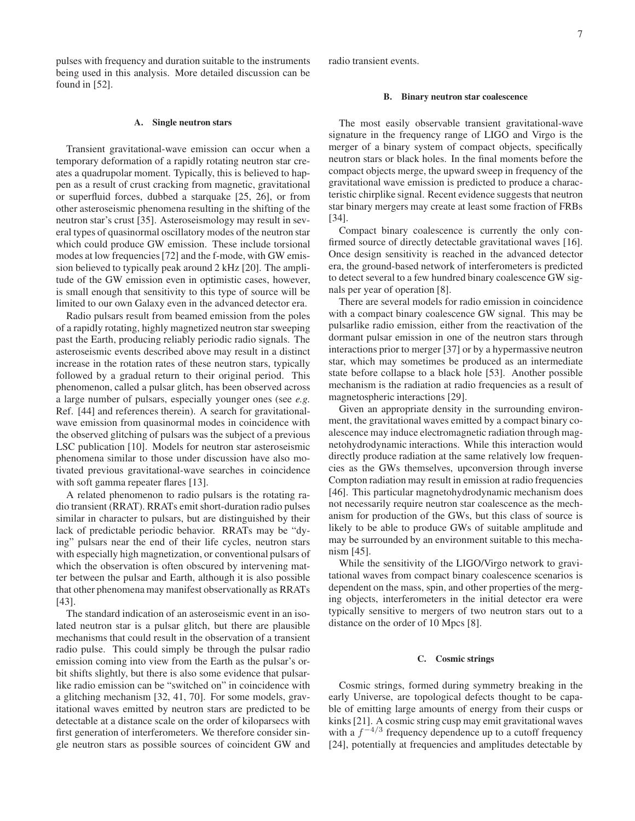pulses with frequency and duration suitable to the instruments being used in this analysis. More detailed discussion can be found in [52].

#### A. Single neutron stars

Transient gravitational-wave emission can occur when a temporary deformation of a rapidly rotating neutron star creates a quadrupolar moment. Typically, this is believed to happen as a result of crust cracking from magnetic, gravitational or superfluid forces, dubbed a starquake [25, 26], or from other asteroseismic phenomena resulting in the shifting of the neutron star's crust [35]. Asteroseismology may result in several types of quasinormal oscillatory modes of the neutron star which could produce GW emission. These include torsional modes at low frequencies [72] and the f-mode, with GW emission believed to typically peak around 2 kHz [20]. The amplitude of the GW emission even in optimistic cases, however, is small enough that sensitivity to this type of source will be limited to our own Galaxy even in the advanced detector era.

Radio pulsars result from beamed emission from the poles of a rapidly rotating, highly magnetized neutron star sweeping past the Earth, producing reliably periodic radio signals. The asteroseismic events described above may result in a distinct increase in the rotation rates of these neutron stars, typically followed by a gradual return to their original period. This phenomenon, called a pulsar glitch, has been observed across a large number of pulsars, especially younger ones (see *e.g.* Ref. [44] and references therein). A search for gravitationalwave emission from quasinormal modes in coincidence with the observed glitching of pulsars was the subject of a previous LSC publication [10]. Models for neutron star asteroseismic phenomena similar to those under discussion have also motivated previous gravitational-wave searches in coincidence with soft gamma repeater flares [13].

A related phenomenon to radio pulsars is the rotating radio transient (RRAT). RRATs emit short-duration radio pulses similar in character to pulsars, but are distinguished by their lack of predictable periodic behavior. RRATs may be "dying" pulsars near the end of their life cycles, neutron stars with especially high magnetization, or conventional pulsars of which the observation is often obscured by intervening matter between the pulsar and Earth, although it is also possible that other phenomena may manifest observationally as RRATs [43].

The standard indication of an asteroseismic event in an isolated neutron star is a pulsar glitch, but there are plausible mechanisms that could result in the observation of a transient radio pulse. This could simply be through the pulsar radio emission coming into view from the Earth as the pulsar's orbit shifts slightly, but there is also some evidence that pulsarlike radio emission can be "switched on" in coincidence with a glitching mechanism [32, 41, 70]. For some models, gravitational waves emitted by neutron stars are predicted to be detectable at a distance scale on the order of kiloparsecs with first generation of interferometers. We therefore consider single neutron stars as possible sources of coincident GW and radio transient events.

#### B. Binary neutron star coalescence

The most easily observable transient gravitational-wave signature in the frequency range of LIGO and Virgo is the merger of a binary system of compact objects, specifically neutron stars or black holes. In the final moments before the compact objects merge, the upward sweep in frequency of the gravitational wave emission is predicted to produce a characteristic chirplike signal. Recent evidence suggests that neutron star binary mergers may create at least some fraction of FRBs [34].

Compact binary coalescence is currently the only confirmed source of directly detectable gravitational waves [16]. Once design sensitivity is reached in the advanced detector era, the ground-based network of interferometers is predicted to detect several to a few hundred binary coalescence GW signals per year of operation [8].

There are several models for radio emission in coincidence with a compact binary coalescence GW signal. This may be pulsarlike radio emission, either from the reactivation of the dormant pulsar emission in one of the neutron stars through interactions prior to merger [37] or by a hypermassive neutron star, which may sometimes be produced as an intermediate state before collapse to a black hole [53]. Another possible mechanism is the radiation at radio frequencies as a result of magnetospheric interactions [29].

Given an appropriate density in the surrounding environment, the gravitational waves emitted by a compact binary coalescence may induce electromagnetic radiation through magnetohydrodynamic interactions. While this interaction would directly produce radiation at the same relatively low frequencies as the GWs themselves, upconversion through inverse Compton radiation may result in emission at radio frequencies [46]. This particular magnetohydrodynamic mechanism does not necessarily require neutron star coalescence as the mechanism for production of the GWs, but this class of source is likely to be able to produce GWs of suitable amplitude and may be surrounded by an environment suitable to this mechanism [45].

While the sensitivity of the LIGO/Virgo network to gravitational waves from compact binary coalescence scenarios is dependent on the mass, spin, and other properties of the merging objects, interferometers in the initial detector era were typically sensitive to mergers of two neutron stars out to a distance on the order of 10 Mpcs [8].

#### C. Cosmic strings

Cosmic strings, formed during symmetry breaking in the early Universe, are topological defects thought to be capable of emitting large amounts of energy from their cusps or kinks [21]. A cosmic string cusp may emit gravitational waves with a  $f^{-4/3}$  frequency dependence up to a cutoff frequency [24], potentially at frequencies and amplitudes detectable by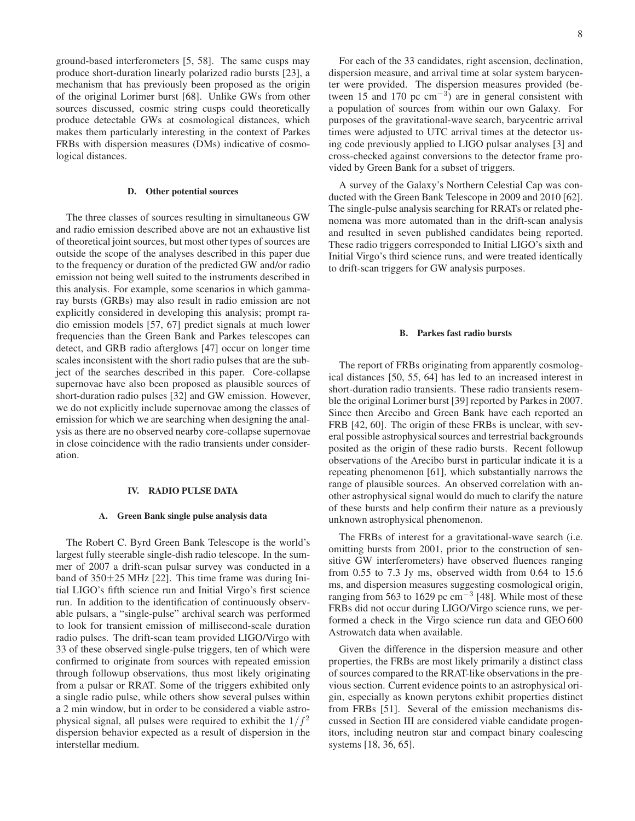ground-based interferometers [5, 58]. The same cusps may produce short-duration linearly polarized radio bursts [23], a mechanism that has previously been proposed as the origin of the original Lorimer burst [68]. Unlike GWs from other sources discussed, cosmic string cusps could theoretically produce detectable GWs at cosmological distances, which makes them particularly interesting in the context of Parkes FRBs with dispersion measures (DMs) indicative of cosmological distances.

#### D. Other potential sources

The three classes of sources resulting in simultaneous GW and radio emission described above are not an exhaustive list of theoretical joint sources, but most other types of sources are outside the scope of the analyses described in this paper due to the frequency or duration of the predicted GW and/or radio emission not being well suited to the instruments described in this analysis. For example, some scenarios in which gammaray bursts (GRBs) may also result in radio emission are not explicitly considered in developing this analysis; prompt radio emission models [57, 67] predict signals at much lower frequencies than the Green Bank and Parkes telescopes can detect, and GRB radio afterglows [47] occur on longer time scales inconsistent with the short radio pulses that are the subject of the searches described in this paper. Core-collapse supernovae have also been proposed as plausible sources of short-duration radio pulses [32] and GW emission. However, we do not explicitly include supernovae among the classes of emission for which we are searching when designing the analysis as there are no observed nearby core-collapse supernovae in close coincidence with the radio transients under consideration.

### IV. RADIO PULSE DATA

#### A. Green Bank single pulse analysis data

The Robert C. Byrd Green Bank Telescope is the world's largest fully steerable single-dish radio telescope. In the summer of 2007 a drift-scan pulsar survey was conducted in a band of 350±25 MHz [22]. This time frame was during Initial LIGO's fifth science run and Initial Virgo's first science run. In addition to the identification of continuously observable pulsars, a "single-pulse" archival search was performed to look for transient emission of millisecond-scale duration radio pulses. The drift-scan team provided LIGO/Virgo with 33 of these observed single-pulse triggers, ten of which were confirmed to originate from sources with repeated emission through followup observations, thus most likely originating from a pulsar or RRAT. Some of the triggers exhibited only a single radio pulse, while others show several pulses within a 2 min window, but in order to be considered a viable astrophysical signal, all pulses were required to exhibit the  $1/f<sup>2</sup>$ dispersion behavior expected as a result of dispersion in the interstellar medium.

For each of the 33 candidates, right ascension, declination, dispersion measure, and arrival time at solar system barycenter were provided. The dispersion measures provided (between 15 and 170 pc  $cm^{-3}$  are in general consistent with a population of sources from within our own Galaxy. For purposes of the gravitational-wave search, barycentric arrival times were adjusted to UTC arrival times at the detector using code previously applied to LIGO pulsar analyses [3] and cross-checked against conversions to the detector frame provided by Green Bank for a subset of triggers.

A survey of the Galaxy's Northern Celestial Cap was conducted with the Green Bank Telescope in 2009 and 2010 [62]. The single-pulse analysis searching for RRATs or related phenomena was more automated than in the drift-scan analysis and resulted in seven published candidates being reported. These radio triggers corresponded to Initial LIGO's sixth and Initial Virgo's third science runs, and were treated identically to drift-scan triggers for GW analysis purposes.

#### B. Parkes fast radio bursts

The report of FRBs originating from apparently cosmological distances [50, 55, 64] has led to an increased interest in short-duration radio transients. These radio transients resemble the original Lorimer burst [39] reported by Parkes in 2007. Since then Arecibo and Green Bank have each reported an FRB [42, 60]. The origin of these FRBs is unclear, with several possible astrophysical sources and terrestrial backgrounds posited as the origin of these radio bursts. Recent followup observations of the Arecibo burst in particular indicate it is a repeating phenomenon [61], which substantially narrows the range of plausible sources. An observed correlation with another astrophysical signal would do much to clarify the nature of these bursts and help confirm their nature as a previously unknown astrophysical phenomenon.

The FRBs of interest for a gravitational-wave search (i.e. omitting bursts from 2001, prior to the construction of sensitive GW interferometers) have observed fluences ranging from 0.55 to 7.3 Jy ms, observed width from 0.64 to 15.6 ms, and dispersion measures suggesting cosmological origin, ranging from 563 to 1629 pc cm<sup>-3</sup> [48]. While most of these FRBs did not occur during LIGO/Virgo science runs, we performed a check in the Virgo science run data and GEO 600 Astrowatch data when available.

Given the difference in the dispersion measure and other properties, the FRBs are most likely primarily a distinct class of sources compared to the RRAT-like observations in the previous section. Current evidence points to an astrophysical origin, especially as known perytons exhibit properties distinct from FRBs [51]. Several of the emission mechanisms discussed in Section III are considered viable candidate progenitors, including neutron star and compact binary coalescing systems [18, 36, 65].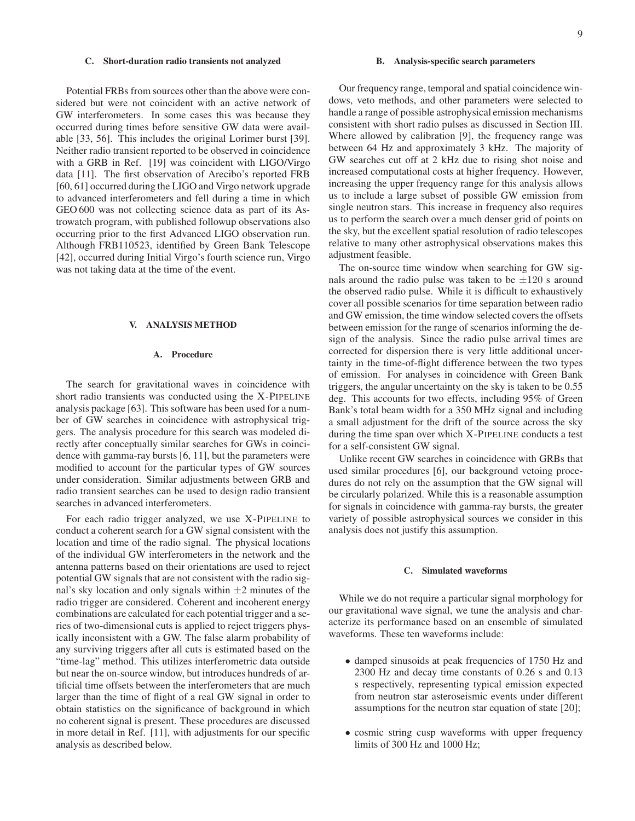#### C. Short-duration radio transients not analyzed

Potential FRBs from sources other than the above were considered but were not coincident with an active network of GW interferometers. In some cases this was because they occurred during times before sensitive GW data were available [33, 56]. This includes the original Lorimer burst [39]. Neither radio transient reported to be observed in coincidence with a GRB in Ref. [19] was coincident with LIGO/Virgo data [11]. The first observation of Arecibo's reported FRB [60, 61] occurred during the LIGO and Virgo network upgrade to advanced interferometers and fell during a time in which GEO 600 was not collecting science data as part of its Astrowatch program, with published followup observations also occurring prior to the first Advanced LIGO observation run. Although FRB110523, identified by Green Bank Telescope [42], occurred during Initial Virgo's fourth science run, Virgo was not taking data at the time of the event.

#### V. ANALYSIS METHOD

#### A. Procedure

The search for gravitational waves in coincidence with short radio transients was conducted using the X-PIPELINE analysis package [63]. This software has been used for a number of GW searches in coincidence with astrophysical triggers. The analysis procedure for this search was modeled directly after conceptually similar searches for GWs in coincidence with gamma-ray bursts [6, 11], but the parameters were modified to account for the particular types of GW sources under consideration. Similar adjustments between GRB and radio transient searches can be used to design radio transient searches in advanced interferometers.

For each radio trigger analyzed, we use X-PIPELINE to conduct a coherent search for a GW signal consistent with the location and time of the radio signal. The physical locations of the individual GW interferometers in the network and the antenna patterns based on their orientations are used to reject potential GW signals that are not consistent with the radio signal's sky location and only signals within  $\pm 2$  minutes of the radio trigger are considered. Coherent and incoherent energy combinations are calculated for each potential trigger and a series of two-dimensional cuts is applied to reject triggers physically inconsistent with a GW. The false alarm probability of any surviving triggers after all cuts is estimated based on the "time-lag" method. This utilizes interferometric data outside but near the on-source window, but introduces hundreds of artificial time offsets between the interferometers that are much larger than the time of flight of a real GW signal in order to obtain statistics on the significance of background in which no coherent signal is present. These procedures are discussed in more detail in Ref. [11], with adjustments for our specific analysis as described below.

#### B. Analysis-specific search parameters

Our frequency range, temporal and spatial coincidence windows, veto methods, and other parameters were selected to handle a range of possible astrophysical emission mechanisms consistent with short radio pulses as discussed in Section III. Where allowed by calibration [9], the frequency range was between 64 Hz and approximately 3 kHz. The majority of GW searches cut off at 2 kHz due to rising shot noise and increased computational costs at higher frequency. However, increasing the upper frequency range for this analysis allows us to include a large subset of possible GW emission from single neutron stars. This increase in frequency also requires us to perform the search over a much denser grid of points on the sky, but the excellent spatial resolution of radio telescopes relative to many other astrophysical observations makes this adjustment feasible.

The on-source time window when searching for GW signals around the radio pulse was taken to be  $\pm 120$  s around the observed radio pulse. While it is difficult to exhaustively cover all possible scenarios for time separation between radio and GW emission, the time window selected covers the offsets between emission for the range of scenarios informing the design of the analysis. Since the radio pulse arrival times are corrected for dispersion there is very little additional uncertainty in the time-of-flight difference between the two types of emission. For analyses in coincidence with Green Bank triggers, the angular uncertainty on the sky is taken to be 0.55 deg. This accounts for two effects, including 95% of Green Bank's total beam width for a 350 MHz signal and including a small adjustment for the drift of the source across the sky during the time span over which X-PIPELINE conducts a test for a self-consistent GW signal.

Unlike recent GW searches in coincidence with GRBs that used similar procedures [6], our background vetoing procedures do not rely on the assumption that the GW signal will be circularly polarized. While this is a reasonable assumption for signals in coincidence with gamma-ray bursts, the greater variety of possible astrophysical sources we consider in this analysis does not justify this assumption.

#### C. Simulated waveforms

While we do not require a particular signal morphology for our gravitational wave signal, we tune the analysis and characterize its performance based on an ensemble of simulated waveforms. These ten waveforms include:

- damped sinusoids at peak frequencies of 1750 Hz and 2300 Hz and decay time constants of 0.26 s and 0.13 s respectively, representing typical emission expected from neutron star asteroseismic events under different assumptions for the neutron star equation of state [20];
- cosmic string cusp waveforms with upper frequency limits of 300 Hz and 1000 Hz;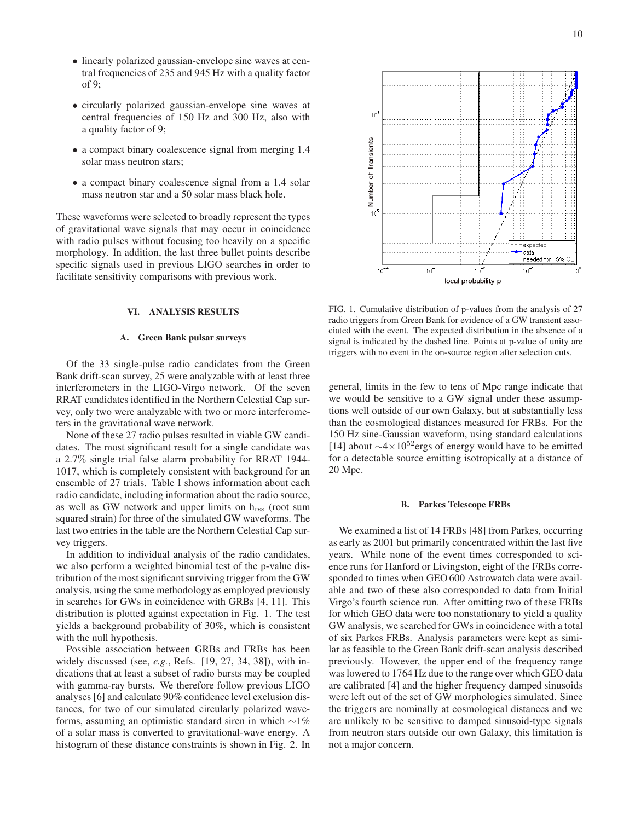- linearly polarized gaussian-envelope sine waves at central frequencies of 235 and 945 Hz with a quality factor of 9;
- circularly polarized gaussian-envelope sine waves at central frequencies of 150 Hz and 300 Hz, also with a quality factor of 9;
- a compact binary coalescence signal from merging 1.4 solar mass neutron stars;
- a compact binary coalescence signal from a 1.4 solar mass neutron star and a 50 solar mass black hole.

These waveforms were selected to broadly represent the types of gravitational wave signals that may occur in coincidence with radio pulses without focusing too heavily on a specific morphology. In addition, the last three bullet points describe specific signals used in previous LIGO searches in order to facilitate sensitivity comparisons with previous work.

#### VI. ANALYSIS RESULTS

#### A. Green Bank pulsar surveys

Of the 33 single-pulse radio candidates from the Green Bank drift-scan survey, 25 were analyzable with at least three interferometers in the LIGO-Virgo network. Of the seven RRAT candidates identified in the Northern Celestial Cap survey, only two were analyzable with two or more interferometers in the gravitational wave network.

None of these 27 radio pulses resulted in viable GW candidates. The most significant result for a single candidate was a 2.7% single trial false alarm probability for RRAT 1944- 1017, which is completely consistent with background for an ensemble of 27 trials. Table I shows information about each radio candidate, including information about the radio source, as well as GW network and upper limits on hrss (root sum squared strain) for three of the simulated GW waveforms. The last two entries in the table are the Northern Celestial Cap survey triggers.

In addition to individual analysis of the radio candidates, we also perform a weighted binomial test of the p-value distribution of the most significant surviving trigger from the GW analysis, using the same methodology as employed previously in searches for GWs in coincidence with GRBs [4, 11]. This distribution is plotted against expectation in Fig. 1. The test yields a background probability of 30%, which is consistent with the null hypothesis.

Possible association between GRBs and FRBs has been widely discussed (see, *e.g.*, Refs. [19, 27, 34, 38]), with indications that at least a subset of radio bursts may be coupled with gamma-ray bursts. We therefore follow previous LIGO analyses [6] and calculate 90% confidence level exclusion distances, for two of our simulated circularly polarized waveforms, assuming an optimistic standard siren in which ∼1% of a solar mass is converted to gravitational-wave energy. A histogram of these distance constraints is shown in Fig. 2. In



FIG. 1. Cumulative distribution of p-values from the analysis of 27 radio triggers from Green Bank for evidence of a GW transient associated with the event. The expected distribution in the absence of a signal is indicated by the dashed line. Points at p-value of unity are triggers with no event in the on-source region after selection cuts.

general, limits in the few to tens of Mpc range indicate that we would be sensitive to a GW signal under these assumptions well outside of our own Galaxy, but at substantially less than the cosmological distances measured for FRBs. For the 150 Hz sine-Gaussian waveform, using standard calculations [14] about  $\sim$ 4×10<sup>52</sup>ergs of energy would have to be emitted for a detectable source emitting isotropically at a distance of 20 Mpc.

#### B. Parkes Telescope FRBs

We examined a list of 14 FRBs [48] from Parkes, occurring as early as 2001 but primarily concentrated within the last five years. While none of the event times corresponded to science runs for Hanford or Livingston, eight of the FRBs corresponded to times when GEO 600 Astrowatch data were available and two of these also corresponded to data from Initial Virgo's fourth science run. After omitting two of these FRBs for which GEO data were too nonstationary to yield a quality GW analysis, we searched for GWs in coincidence with a total of six Parkes FRBs. Analysis parameters were kept as similar as feasible to the Green Bank drift-scan analysis described previously. However, the upper end of the frequency range was lowered to 1764 Hz due to the range over which GEO data are calibrated [4] and the higher frequency damped sinusoids were left out of the set of GW morphologies simulated. Since the triggers are nominally at cosmological distances and we are unlikely to be sensitive to damped sinusoid-type signals from neutron stars outside our own Galaxy, this limitation is not a major concern.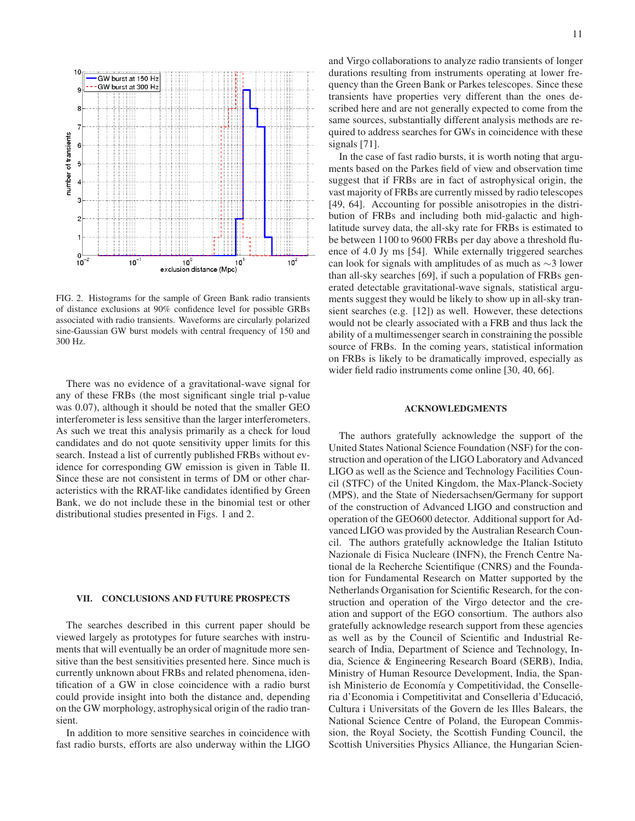

FIG. 2. Histograms for the sample of Green Bank radio transients of distance exclusions at 90% confidence level for possible GRBs associated with radio transients. Waveforms are circularly polarized sine-Gaussian GW burst models with central frequency of 150 and 300 Hz.

There was no evidence of a gravitational-wave signal for any of these FRBs (the most significant single trial p-value was 0.07), although it should be noted that the smaller GEO interferometer is less sensitive than the larger interferometers. As such we treat this analysis primarily as a check for loud candidates and do not quote sensitivity upper limits for this search. Instead a list of currently published FRBs without evidence for corresponding GW emission is given in Table II. Since these are not consistent in terms of DM or other characteristics with the RRAT-like candidates identified by Green Bank, we do not include these in the binomial test or other distributional studies presented in Figs. 1 and 2.

#### VII. CONCLUSIONS AND FUTURE PROSPECTS

The searches described in this current paper should be viewed largely as prototypes for future searches with instruments that will eventually be an order of magnitude more sensitive than the best sensitivities presented here. Since much is currently unknown about FRBs and related phenomena, identification of a GW in close coincidence with a radio burst could provide insight into both the distance and, depending on the GW morphology, astrophysical origin of the radio transient.

In addition to more sensitive searches in coincidence with fast radio bursts, efforts are also underway within the LIGO and Virgo collaborations to analyze radio transients of longer durations resulting from instruments operating at lower frequency than the Green Bank or Parkes telescopes. Since these transients have properties very different than the ones described here and are not generally expected to come from the same sources, substantially different analysis methods are required to address searches for GWs in coincidence with these signals [71].

In the case of fast radio bursts, it is worth noting that arguments based on the Parkes field of view and observation time suggest that if FRBs are in fact of astrophysical origin, the vast majority of FRBs are currently missed by radio telescopes [49, 64]. Accounting for possible anisotropies in the distribution of FRBs and including both mid-galactic and highlatitude survey data, the all-sky rate for FRBs is estimated to be between 1100 to 9600 FRBs per day above a threshold fluence of 4.0 Jy ms [54]. While externally triggered searches can look for signals with amplitudes of as much as ∼3 lower than all-sky searches [69], if such a population of FRBs generated detectable gravitational-wave signals, statistical arguments suggest they would be likely to show up in all-sky transient searches (e.g. [12]) as well. However, these detections would not be clearly associated with a FRB and thus lack the ability of a multimessenger search in constraining the possible source of FRBs. In the coming years, statistical information on FRBs is likely to be dramatically improved, especially as wider field radio instruments come online [30, 40, 66].

#### ACKNOWLEDGMENTS

The authors gratefully acknowledge the support of the United States National Science Foundation (NSF) for the construction and operation of the LIGO Laboratory and Advanced LIGO as well as the Science and Technology Facilities Council (STFC) of the United Kingdom, the Max-Planck-Society (MPS), and the State of Niedersachsen/Germany for support of the construction of Advanced LIGO and construction and operation of the GEO600 detector. Additional support for Advanced LIGO was provided by the Australian Research Council. The authors gratefully acknowledge the Italian Istituto Nazionale di Fisica Nucleare (INFN), the French Centre National de la Recherche Scientifique (CNRS) and the Foundation for Fundamental Research on Matter supported by the Netherlands Organisation for Scientific Research, for the construction and operation of the Virgo detector and the creation and support of the EGO consortium. The authors also gratefully acknowledge research support from these agencies as well as by the Council of Scientific and Industrial Research of India, Department of Science and Technology, India, Science & Engineering Research Board (SERB), India, Ministry of Human Resource Development, India, the Spanish Ministerio de Economía y Competitividad, the Conselleria d'Economia i Competitivitat and Conselleria d'Educació, Cultura i Universitats of the Govern de les Illes Balears, the National Science Centre of Poland, the European Commission, the Royal Society, the Scottish Funding Council, the Scottish Universities Physics Alliance, the Hungarian Scien-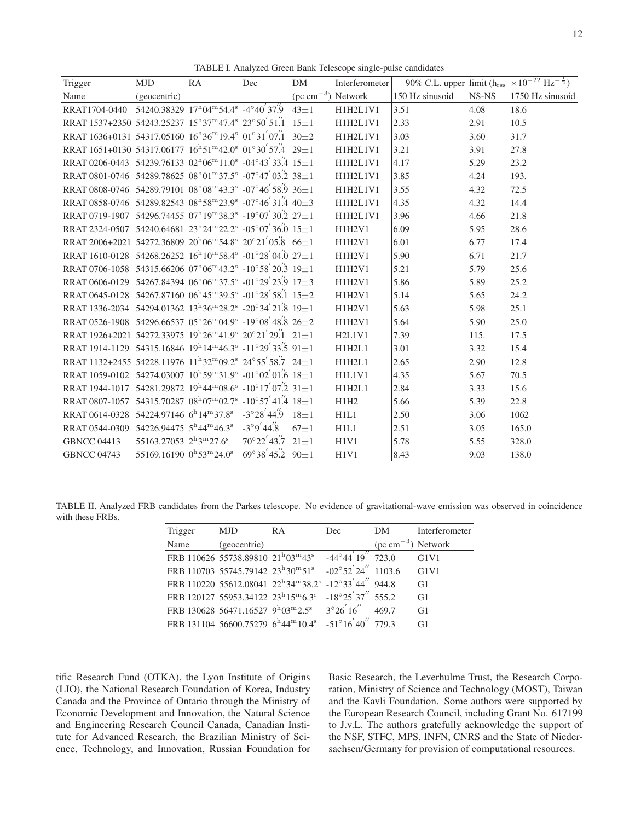TABLE I. Analyzed Green Bank Telescope single-pulse candidates

| Trigger                                                                                                                               | <b>MJD</b>                                                  | RA                                                                     | Dec                  | <b>DM</b>              | Interferometer                |                 |       | 90% C.L. upper limit ( $h_{\text{rss}} \times 10^{-22} \text{ Hz}^{-\frac{1}{2}}$ ) |
|---------------------------------------------------------------------------------------------------------------------------------------|-------------------------------------------------------------|------------------------------------------------------------------------|----------------------|------------------------|-------------------------------|-----------------|-------|-------------------------------------------------------------------------------------|
| Name                                                                                                                                  | (geocentric)                                                |                                                                        |                      | $(pc cm^{-3})$ Network |                               | 150 Hz sinusoid | NS-NS | 1750 Hz sinusoid                                                                    |
| RRAT1704-0440                                                                                                                         |                                                             | 54240.38329 $17^{\rm h}04^{\rm m}54.4^{\rm s}$ -4°40 <sup>'</sup> 37.9 |                      | $43\pm1$               | H1H2L1V1                      | 3.51            | 4.08  | 18.6                                                                                |
| RRAT 1537+2350 54243.25237 $15^{h}37^{m}47.4^{s}$ $23^{\circ}50^{'}51''$ , $15\pm1$                                                   |                                                             |                                                                        |                      |                        | H1H2L1V1                      | 2.33            | 2.91  | 10.5                                                                                |
| RRAT 1636+0131 54317.05160 $16^{h}36^{m}19.4^{s}$ 01°31 <sup>'</sup> 07. <sup>"</sup> 1 30 $\pm$ 2                                    |                                                             |                                                                        |                      |                        | H1H2L1V1                      | 3.03            | 3.60  | 31.7                                                                                |
| RRAT 1651+0130 54317.06177 $16^{h}51^{m}42.0^{s}$ 01°30'57.4 29 $\pm$ 1                                                               |                                                             |                                                                        |                      |                        | H1H2L1V1                      | 3.21            | 3.91  | 27.8                                                                                |
| RRAT 0206-0443 54239.76133 02 <sup>h</sup> 06 <sup>m</sup> 11.0 <sup>s</sup> -04 <sup>°</sup> 43 <sup>'</sup> 33. <sup>'4</sup> 15±1  |                                                             |                                                                        |                      |                        | H1H2L1V1                      | 4.17            | 5.29  | 23.2                                                                                |
| RRAT 0801-0746 54289.78625 08 <sup>h</sup> 01 <sup>m</sup> 37.5 <sup>s</sup> -07 <sup>°</sup> 47 <sup>'</sup> 03.2 38±1               |                                                             |                                                                        |                      |                        | H1H2L1V1                      | 3.85            | 4.24  | 193.                                                                                |
| RRAT 0808-0746 54289.79101 $08^{h}08^{m}43.3^{s}$ -07°46'58.9 36 $\pm$ 1                                                              |                                                             |                                                                        |                      |                        | H1H2L1V1                      | 3.55            | 4.32  | 72.5                                                                                |
| RRAT 0858-0746 54289.82543 08h58 $m$ 23.9h -07°46 <sup>'</sup> 31.4 40 $\pm$ 3                                                        |                                                             |                                                                        |                      |                        | H1H2L1V1                      | 4.35            | 4.32  | 14.4                                                                                |
| RRAT 0719-1907 54296.74455 07h 19m 38.3h -19° 07 30.2 27 $\pm$ 1                                                                      |                                                             |                                                                        |                      |                        | H1H2L1V1                      | 3.96            | 4.66  | 21.8                                                                                |
| RRAT 2324-0507 54240.64681 $23^{\rm h}24^{\rm m}22.2^{\rm s}$ -05°07'36.0 15 $\pm$ 1                                                  |                                                             |                                                                        |                      |                        | H1H2V1                        | 6.09            | 5.95  | 28.6                                                                                |
| RRAT 2006+2021 54272.36809 20 <sup>h</sup> 06 <sup>m</sup> 54.8° 20°21 <sup>'</sup> 05 <sup>''</sup> 8 66±1                           |                                                             |                                                                        |                      |                        | H1H2V1                        | 6.01            | 6.77  | 17.4                                                                                |
| RRAT 1610-0128 54268.26252 16 <sup>h</sup> 10 <sup>m</sup> 58.4 <sup>s</sup> -01 <sup>o</sup> 28 <sup>'</sup> 04 <sup>''</sup> 0 27±1 |                                                             |                                                                        |                      |                        | H1H2V1                        | 5.90            | 6.71  | 21.7                                                                                |
| RRAT 0706-1058 54315.66206 07 <sup>h</sup> 06 <sup>m</sup> 43.2 <sup>s</sup> -10°58 <sup>'</sup> 20 <sup>''</sup> 3 19±1              |                                                             |                                                                        |                      |                        | H1H2V1                        | 5.21            | 5.79  | 25.6                                                                                |
| RRAT 0606-0129 54267.84394 06 <sup>h</sup> 06 <sup>m</sup> 37.5° -01°29'23.9 17 $\pm$ 3                                               |                                                             |                                                                        |                      |                        | H1H2V1                        | 5.86            | 5.89  | 25.2                                                                                |
| RRAT 0645-0128 54267.87160 $06^{h}45^{m}39.5^{s}$ -01°28'58.1 15 $\pm$ 2                                                              |                                                             |                                                                        |                      |                        | <b>H1H2V1</b>                 | 5.14            | 5.65  | 24.2                                                                                |
| RRAT 1336-2034 54294.01362 $13^{\rm h}36^{\rm m}28.2^{\rm s}$ -20°34'21.8 19 $\pm$ 1                                                  |                                                             |                                                                        |                      |                        | H1H2V1                        | 5.63            | 5.98  | 25.1                                                                                |
| RRAT 0526-1908 54296.66537 05 <sup>h</sup> 26 <sup>m</sup> 04.9 <sup>s</sup> -19°08 <sup>'</sup> 48.8' 26±2                           |                                                             |                                                                        |                      |                        | H1H2V1                        | 5.64            | 5.90  | 25.0                                                                                |
| RRAT 1926+2021 54272.33975 19h26 $m_4$ 1.9 $m_2$ 20 $m_2$ 1 21 $\pm$ 1                                                                |                                                             |                                                                        |                      |                        | <b>H2L1V1</b>                 | 7.39            | 115.  | 17.5                                                                                |
| RRAT 1914-1129 54315.16846 $19^{\rm h}14^{\rm m}46.3^{\rm s}$ -11°29'33.5 91 $\pm$ 1                                                  |                                                             |                                                                        |                      |                        | H1H2L1                        | 3.01            | 3.32  | 15.4                                                                                |
| RRAT 1132+2455 54228.11976 $11^{\rm h}32^{\rm m}09.2^{\rm s}$ 24°55' 58.7 24 $\pm 1$                                                  |                                                             |                                                                        |                      |                        | H1H2L1                        | 2.65            | 2.90  | 12.8                                                                                |
| RRAT 1059-0102 54274.03007 $10^{\rm h}59^{\rm m}31.9^{\rm s}$ -01°02'01.6 $18\pm1$                                                    |                                                             |                                                                        |                      |                        | H1L1V1                        | 4.35            | 5.67  | 70.5                                                                                |
| RRAT 1944-1017 54281.29872 $19^{\text{h}}44^{\text{m}}08.6^{\text{s}}$ -10°17 <sup>'</sup> 07.2 31 $\pm$ 1                            |                                                             |                                                                        |                      |                        | H1H2L1                        | 2.84            | 3.33  | 15.6                                                                                |
| RRAT 0807-1057 54315.70287 $08^{h}07^{m}02.7^{s}$ -10°57'41.4 18 $\pm$ 1                                                              |                                                             |                                                                        |                      |                        | H1H2                          | 5.66            | 5.39  | 22.8                                                                                |
| RRAT 0614-0328 54224.97146 $6^{\text{h}}14^{\text{m}}37.8^{\text{s}}$ -3°28'44.9                                                      |                                                             |                                                                        |                      | $18\pm1$               | H1L1                          | 2.50            | 3.06  | 1062                                                                                |
| RRAT 0544-0309 54226.94475 $5^{\rm h}$ 44 <sup>m</sup> 46.3 <sup>s</sup>                                                              |                                                             |                                                                        | $-3^{\circ}9'44''3$  | $67 \pm 1$             | H1L1                          | 2.51            | 3.05  | 165.0                                                                               |
| <b>GBNCC 04413</b>                                                                                                                    | 55163.27053 2 <sup>h</sup> 3 <sup>m</sup> 27.6 <sup>s</sup> |                                                                        | $70^{\circ}22'$ 43.7 | $21 \pm 1$             | H <sub>1</sub> V <sub>1</sub> | 5.78            | 5.55  | 328.0                                                                               |
| <b>GBNCC 04743</b>                                                                                                                    |                                                             | 55169.16190 $0^{\text{h}}53^{\text{m}}24.0^{\text{s}}$ 69°38'45'2 90±1 |                      |                        | H1V1                          | 8.43            | 9.03  | 138.0                                                                               |

TABLE II. Analyzed FRB candidates from the Parkes telescope. No evidence of gravitational-wave emission was observed in coincidence with these FRBs.

| Trigger | <b>MJD</b>   | <b>RA</b>                                                                                                         | Dec | DM                        | Interferometer |
|---------|--------------|-------------------------------------------------------------------------------------------------------------------|-----|---------------------------|----------------|
| Name    | (geocentric) |                                                                                                                   |     | $(pc \, cm^{-3})$ Network |                |
|         |              | FRB 110626 55738.89810 21 <sup>h</sup> 03 <sup>m</sup> 43 <sup>s</sup> -44°44'19" 723.0                           |     |                           | G1V1           |
|         |              | FRB 110703 55745.79142 23h 30m 51s -02°52'24" 1103.6                                                              |     |                           | G1V1           |
|         |              | FRB 110220 55612.08041 22h34m38.2s -12°33'44" 944.8                                                               |     |                           | G1             |
|         |              | FRB 120127 55953.34122 23 <sup>h</sup> 15 <sup>m</sup> 6.3 <sup>s</sup> -18°25 <sup>'</sup> 37 <sup>"</sup> 555.2 |     |                           | G1             |
|         |              | FRB 130628 56471.16527 $9^{h}03^{m}2.5^{s}$ $3^{o}26'16''$                                                        |     | 469.7                     | G1             |
|         |              | FRB 131104 56600.75279 6 <sup>h</sup> 44 <sup>m</sup> 10.4 <sup>s</sup> -51°16 <sup>'</sup> 40 <sup>"</sup> 779.3 |     |                           | G <sub>1</sub> |

tific Research Fund (OTKA), the Lyon Institute of Origins (LIO), the National Research Foundation of Korea, Industry Canada and the Province of Ontario through the Ministry of Economic Development and Innovation, the Natural Science and Engineering Research Council Canada, Canadian Institute for Advanced Research, the Brazilian Ministry of Science, Technology, and Innovation, Russian Foundation for Basic Research, the Leverhulme Trust, the Research Corporation, Ministry of Science and Technology (MOST), Taiwan and the Kavli Foundation. Some authors were supported by the European Research Council, including Grant No. 617199 to J.v.L. The authors gratefully acknowledge the support of the NSF, STFC, MPS, INFN, CNRS and the State of Niedersachsen/Germany for provision of computational resources.